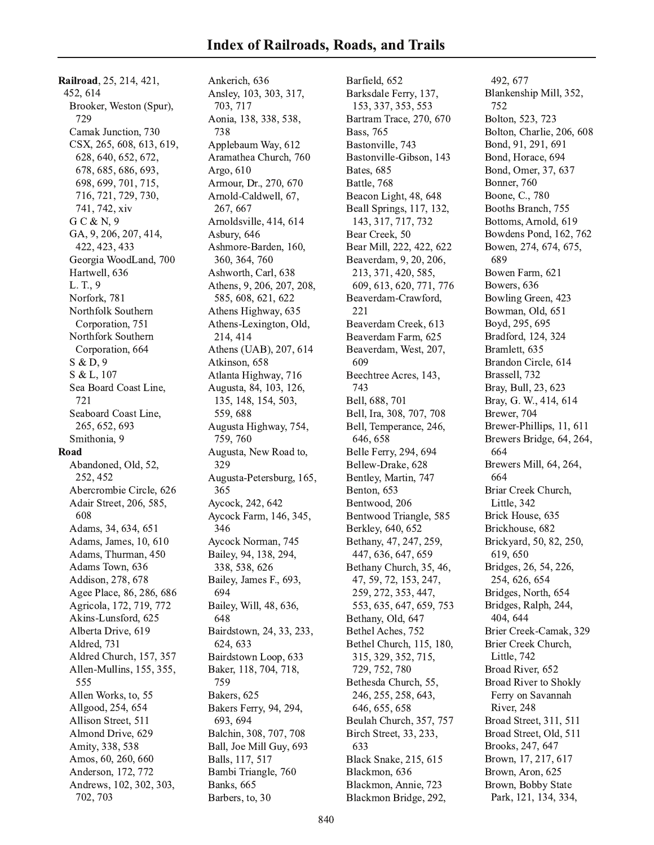Railroad, 25, 214, 421, 452, 614 Brooker, Weston (Spur), 729 Camak Junction, 730 CSX, 265, 608, 613, 619, 628, 640, 652, 672, 678, 685, 686, 693, 698, 699, 701, 715, 716, 721, 729, 730, 741, 742, xiv  $G C & N, 9$ GA, 9, 206, 207, 414, 422, 423, 433 Georgia WoodLand, 700 Hartwell, 636 L. T., 9 Norfork, 781 Northfolk Southern Corporation, 751 Northfork Southern Corporation, 664  $S & D, 9$ S & L, 107 Sea Board Coast Line, 721 Seaboard Coast Line, 265, 652, 693 Smithonia, 9 Road Abandoned, Old, 52, 252, 452 Abercrombie Circle, 626 Adair Street, 206, 585, 608 Adams, 34, 634, 651 Adams, James, 10, 610 Adams, Thurman, 450 Adams Town, 636 Addison, 278, 678 Agee Place, 86, 286, 686 Agricola, 172, 719, 772 Akins-Lunsford, 625 Alberta Drive, 619 Aldred, 731 Aldred Church, 157, 357 Allen-Mullins, 155, 355, 555 Allen Works, to, 55 Allgood, 254, 654 Allison Street, 511 Almond Drive, 629 Amity, 338, 538 Amos, 60, 260, 660 Anderson, 172, 772 Andrews, 102, 302, 303, 702, 703

Ankerich, 636 Ansley, 103, 303, 317, 703, 717 Aonia, 138, 338, 538, 738 Applebaum Way, 612 Aramathea Church, 760 Argo, 610 Armour, Dr., 270, 670 Arnold-Caldwell, 67, 267, 667 Arnoldsville, 414, 614 Asbury, 646 Ashmore-Barden, 160, 360, 364, 760 Ashworth, Carl, 638 Athens, 9, 206, 207, 208, 585, 608, 621, 622 Athens Highway, 635 Athens-Lexington, Old, 214, 414 Athens (UAB), 207, 614 Atkinson, 658 Atlanta Highway, 716 Augusta, 84, 103, 126, 135, 148, 154, 503, 559,688 Augusta Highway, 754, 759, 760 Augusta, New Road to, 329 Augusta-Petersburg, 165, 365 Aycock, 242, 642 Aycock Farm, 146, 345, 346 Aycock Norman, 745 Bailey, 94, 138, 294, 338, 538, 626 Bailey, James F., 693, 694 Bailey, Will, 48, 636, 648 Bairdstown, 24, 33, 233, 624, 633 Bairdstown Loop, 633 Baker, 118, 704, 718, 759 Bakers, 625 Bakers Ferry, 94, 294, 693, 694 Balchin, 308, 707, 708 Ball, Joe Mill Guy, 693 Balls, 117, 517 Bambi Triangle, 760 Banks, 665 Barbers, to, 30

Barfield, 652 Barksdale Ferry, 137, 153, 337, 353, 553 Bartram Trace, 270, 670 Bass, 765 Bastonville, 743 Bastonville-Gibson, 143 Bates, 685 Battle, 768 Beacon Light, 48, 648 Beall Springs, 117, 132, 143, 317, 717, 732 Bear Creek, 50 Bear Mill, 222, 422, 622 Beaverdam, 9, 20, 206, 213, 371, 420, 585, 609, 613, 620, 771, 776 Beaverdam-Crawford, 221 Beaverdam Creek, 613 Beaverdam Farm, 625 Beaverdam, West, 207, 609 Beechtree Acres, 143, 743 Bell, 688, 701 Bell, Ira, 308, 707, 708 Bell, Temperance, 246, 646, 658 Belle Ferry, 294, 694 Bellew-Drake, 628 Bentley, Martin, 747 Benton, 653 Bentwood, 206 Bentwood Triangle, 585 Berkley, 640, 652 Bethany, 47, 247, 259, 447, 636, 647, 659 Bethany Church, 35, 46, 47, 59, 72, 153, 247, 259, 272, 353, 447, 553, 635, 647, 659, 753 Bethany, Old, 647 Bethel Aches, 752 Bethel Church, 115, 180, 315, 329, 352, 715, 729, 752, 780 Bethesda Church, 55, 246, 255, 258, 643, 646, 655, 658 Beulah Church, 357, 757 Birch Street, 33, 233, 633 Black Snake, 215, 615 Blackmon, 636 Blackmon, Annie, 723 Blackmon Bridge, 292,

492, 677 Blankenship Mill, 352, 752 Bolton, 523, 723 Bolton, Charlie, 206, 608 Bond, 91, 291, 691 Bond, Horace, 694 Bond, Omer, 37, 637 Bonner, 760 Boone, C., 780 Booths Branch, 755 Bottoms, Arnold, 619 Bowdens Pond, 162, 762 Bowen, 274, 674, 675, 689 Bowen Farm, 621 Bowers, 636 Bowling Green, 423 Bowman, Old, 651 Boyd, 295, 695 Bradford, 124, 324 Bramlett, 635 Brandon Circle, 614 Brassell, 732 Bray, Bull, 23, 623 Bray, G. W., 414, 614 Brewer, 704 Brewer-Phillips, 11, 611 Brewers Bridge, 64, 264, 664 Brewers Mill, 64, 264, 664 Briar Creek Church, Little, 342 Brick House, 635 Brickhouse, 682 Brickyard, 50, 82, 250, 619.650 Bridges, 26, 54, 226, 254, 626, 654 Bridges, North, 654 Bridges, Ralph, 244, 404, 644 Brier Creek-Camak, 329 Brier Creek Church, Little, 742 Broad River, 652 **Broad River to Shokly** Ferry on Savannah River, 248 Broad Street, 311, 511 Broad Street, Old, 511 Brooks, 247, 647 Brown, 17, 217, 617 Brown, Aron, 625 Brown, Bobby State Park, 121, 134, 334,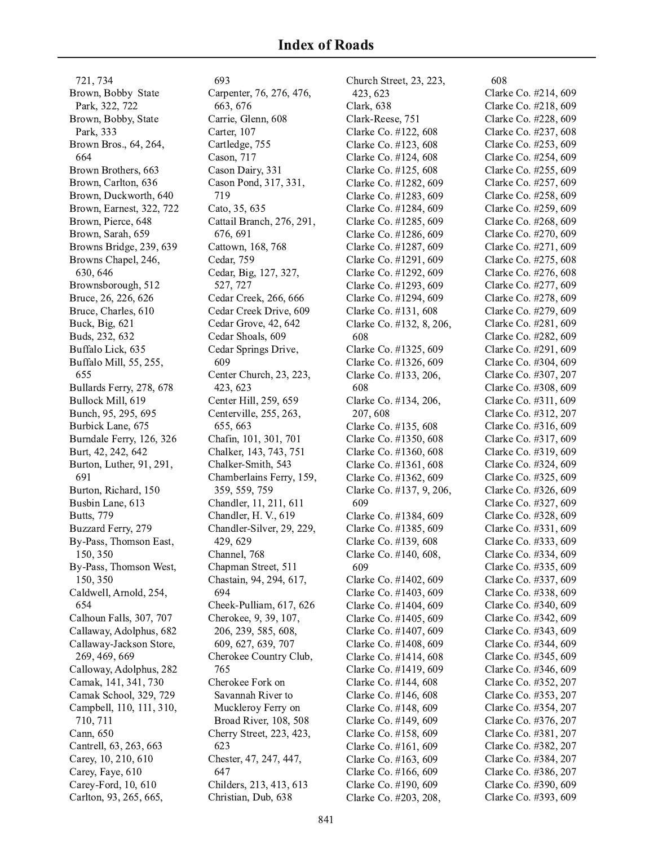721, 734 Brown, Bobby State Park, 322, 722 Brown, Bobby, State Park, 333 Brown Bros., 64, 264, 664 Brown Brothers, 663 Brown, Carlton, 636 Brown, Duckworth, 640 Brown, Earnest, 322, 722 Brown, Pierce, 648 Brown, Sarah, 659 Browns Bridge, 239, 639 Browns Chapel, 246, 630, 646 Brownsborough, 512 Bruce, 26, 226, 626 Bruce, Charles, 610 Buck, Big, 621 Buds, 232, 632 Buffalo Lick, 635 Buffalo Mill, 55, 255, 655 Bullards Ferry, 278, 678 Bullock Mill, 619 Bunch, 95, 295, 695 Burbick Lane, 675 Burndale Ferry, 126, 326 Burt, 42, 242, 642 Burton, Luther, 91, 291, 691 Burton, Richard, 150 Busbin Lane, 613 **Butts**, 779 Buzzard Ferry, 279 By-Pass, Thomson East, 150, 350 By-Pass, Thomson West, 150, 350 Caldwell, Arnold, 254, 654 Calhoun Falls, 307, 707 Callaway, Adolphus, 682 Callaway-Jackson Store, 269, 469, 669 Calloway, Adolphus, 282 Camak, 141, 341, 730 Camak School, 329, 729 Campbell, 110, 111, 310, 710, 711 Cann, 650 Cantrell, 63, 263, 663 Carey, 10, 210, 610 Carey, Faye, 610 Carey-Ford, 10, 610 Carlton, 93, 265, 665,

693 Carpenter, 76, 276, 476, 663, 676 Carrie, Glenn, 608 Carter, 107 Cartledge, 755 Cason, 717 Cason Dairy, 331 Cason Pond, 317, 331, 719 Cato, 35, 635 Cattail Branch, 276, 291, 676, 691 Cattown, 168, 768 Cedar, 759 Cedar, Big, 127, 327, 527, 727 Cedar Creek, 266, 666 Cedar Creek Drive, 609 Cedar Grove, 42, 642 Cedar Shoals, 609 Cedar Springs Drive, 609 Center Church, 23, 223, 423, 623 Center Hill, 259, 659 Centerville, 255, 263, 655, 663 Chafin, 101, 301, 701 Chalker, 143, 743, 751 Chalker-Smith, 543 Chamberlains Ferry, 159, 359, 559, 759 Chandler, 11, 211, 611 Chandler, H. V., 619 Chandler-Silver, 29, 229, 429, 629 Channel, 768 Chapman Street, 511 Chastain, 94, 294, 617, 694 Cheek-Pulliam, 617, 626 Cherokee, 9, 39, 107, 206, 239, 585, 608, 609, 627, 639, 707 Cherokee Country Club, 765 Cherokee Fork on Savannah River to Muckleroy Ferry on Broad River, 108, 508 Cherry Street, 223, 423, 623 Chester, 47, 247, 447, 647 Childers, 213, 413, 613 Christian, Dub, 638

Church Street, 23, 223, 423, 623 Clark, 638 Clark-Reese, 751 Clarke Co. #122, 608 Clarke Co. #123, 608 Clarke Co. #124, 608 Clarke Co. #125, 608 Clarke Co. #1282, 609 Clarke Co. #1283, 609 Clarke Co. #1284, 609 Clarke Co. #1285, 609 Clarke Co. #1286, 609 Clarke Co. #1287, 609 Clarke Co. #1291, 609 Clarke Co. #1292, 609 Clarke Co. #1293, 609 Clarke Co. #1294, 609 Clarke Co. #131, 608 Clarke Co. #132, 8, 206, 608 Clarke Co. #1325, 609 Clarke Co. #1326, 609 Clarke Co. #133, 206, 608 Clarke Co. #134, 206, 207, 608 Clarke Co. #135, 608 Clarke Co. #1350, 608 Clarke Co. #1360, 608 Clarke Co. #1361, 608 Clarke Co. #1362, 609 Clarke Co. #137, 9, 206, 609 Clarke Co. #1384, 609 Clarke Co. #1385, 609 Clarke Co. #139, 608 Clarke Co. #140, 608, 609 Clarke Co. #1402, 609 Clarke Co. #1403, 609 Clarke Co. #1404, 609 Clarke Co. #1405, 609 Clarke Co. #1407, 609 Clarke Co. #1408, 609 Clarke Co. #1414, 608 Clarke Co. #1419, 609 Clarke Co. #144, 608 Clarke Co. #146, 608 Clarke Co. #148, 609 Clarke Co. #149, 609 Clarke Co. #158, 609 Clarke Co. #161, 609 Clarke Co. #163, 609 Clarke Co. #166, 609 Clarke Co. #190, 609 Clarke Co. #203, 208,

608 Clarke Co. #214, 609 Clarke Co. #218, 609 Clarke Co. #228, 609 Clarke Co. #237, 608 Clarke Co. #253, 609 Clarke Co. #254, 609 Clarke Co. #255, 609 Clarke Co. #257, 609 Clarke Co. #258, 609 Clarke Co. #259, 609 Clarke Co. #268, 609 Clarke Co. #270, 609 Clarke Co. #271, 609 Clarke Co. #275, 608 Clarke Co. #276, 608 Clarke Co. #277, 609 Clarke Co. #278, 609 Clarke Co. #279, 609 Clarke Co. #281, 609 Clarke Co. #282, 609 Clarke Co. #291, 609 Clarke Co. #304, 609 Clarke Co. #307, 207 Clarke Co. #308, 609 Clarke Co. #311, 609 Clarke Co. #312, 207 Clarke Co. #316, 609 Clarke Co. #317, 609 Clarke Co. #319, 609 Clarke Co. #324, 609 Clarke Co. #325, 609 Clarke Co. #326, 609 Clarke Co. #327, 609 Clarke Co. #328, 609 Clarke Co. #331, 609 Clarke Co. #333, 609 Clarke Co. #334, 609 Clarke Co. #335, 609 Clarke Co. #337, 609 Clarke Co. #338, 609 Clarke Co. #340, 609 Clarke Co. #342, 609 Clarke Co. #343, 609 Clarke Co. #344, 609 Clarke Co. #345, 609 Clarke Co. #346, 609 Clarke Co. #352, 207 Clarke Co. #353, 207 Clarke Co. #354, 207 Clarke Co. #376, 207 Clarke Co. #381, 207 Clarke Co. #382, 207 Clarke Co. #384, 207 Clarke Co. #386, 207 Clarke Co. #390, 609 Clarke Co. #393, 609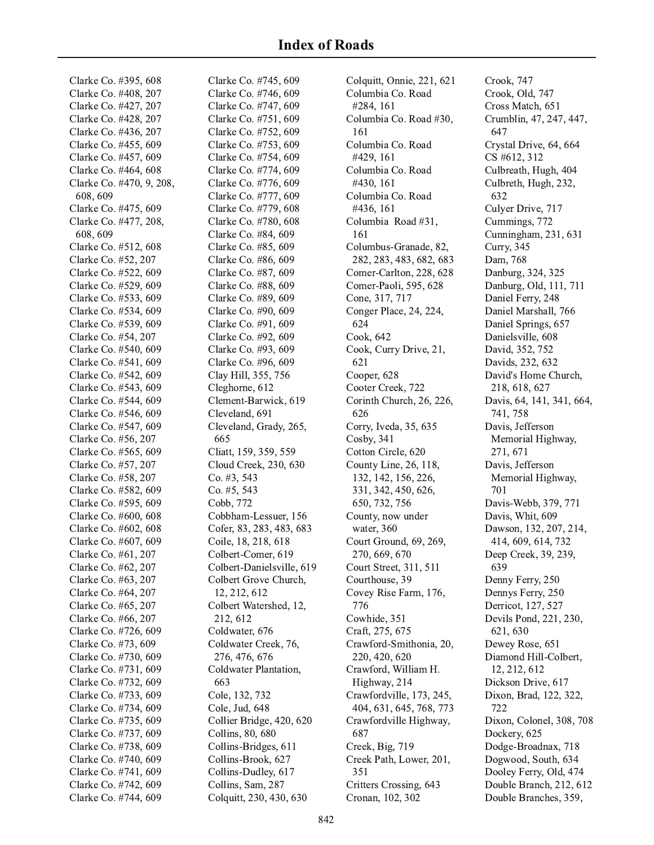Clarke Co. #395, 608 Clarke Co. #408, 207 Clarke Co. #427, 207 Clarke Co. #428, 207 Clarke Co. #436, 207 Clarke Co. #455, 609 Clarke Co. #457, 609 Clarke Co. #464, 608 Clarke Co. #470, 9, 208, 608, 609 Clarke Co. #475, 609 Clarke Co. #477, 208, 608, 609 Clarke Co. #512, 608 Clarke Co. #52, 207 Clarke Co. #522, 609 Clarke Co. #529, 609 Clarke Co. #533, 609 Clarke Co. #534, 609 Clarke Co. #539, 609 Clarke Co. #54, 207 Clarke Co. #540, 609 Clarke Co. #541, 609 Clarke Co. #542, 609 Clarke Co. #543, 609 Clarke Co. #544, 609 Clarke Co. #546, 609 Clarke Co. #547, 609 Clarke Co. #56, 207 Clarke Co. #565, 609 Clarke Co. #57, 207 Clarke Co. #58, 207 Clarke Co. #582, 609 Clarke Co. #595, 609 Clarke Co. #600, 608 Clarke Co. #602, 608 Clarke Co. #607, 609 Clarke Co. #61, 207 Clarke Co. #62, 207 Clarke Co. #63, 207 Clarke Co. #64, 207 Clarke Co. #65, 207 Clarke Co. #66, 207 Clarke Co. #726, 609 Clarke Co. #73, 609 Clarke Co. #730, 609 Clarke Co. #731, 609 Clarke Co. #732, 609 Clarke Co. #733, 609 Clarke Co. #734, 609 Clarke Co. #735, 609 Clarke Co. #737, 609 Clarke Co. #738, 609 Clarke Co. #740, 609 Clarke Co. #741, 609 Clarke Co. #742, 609 Clarke Co. #744, 609

Clarke Co. #745, 609 Clarke Co. #746, 609 Clarke Co. #747, 609 Clarke Co. #751, 609 Clarke Co. #752, 609 Clarke Co. #753, 609 Clarke Co. #754, 609 Clarke Co. #774, 609 Clarke Co. #776, 609 Clarke Co. #777, 609 Clarke Co. #779, 608 Clarke Co. #780, 608 Clarke Co. #84, 609 Clarke Co. #85, 609 Clarke Co. #86, 609 Clarke Co. #87, 609 Clarke Co. #88, 609 Clarke Co. #89, 609 Clarke Co. #90, 609 Clarke Co. #91, 609 Clarke Co. #92, 609 Clarke Co. #93, 609 Clarke Co. #96, 609 Clay Hill, 355, 756 Cleghorne, 612 Clement-Barwick, 619 Cleveland, 691 Cleveland, Grady, 265, 665 Cliatt, 159, 359, 559 Cloud Creek, 230, 630 Co. #3, 543 Co. #5, 543 Cobb, 772 Cobbham-Lessuer, 156 Cofer, 83, 283, 483, 683 Coile, 18, 218, 618 Colbert-Comer, 619 Colbert-Danielsville, 619 Colbert Grove Church, 12, 212, 612 Colbert Watershed, 12, 212, 612 Coldwater, 676 Coldwater Creek, 76, 276, 476, 676 Coldwater Plantation, 663 Cole, 132, 732 Cole, Jud, 648 Collier Bridge, 420, 620 Collins, 80, 680 Collins-Bridges, 611 Collins-Brook, 627 Collins-Dudley, 617 Collins, Sam, 287 Colquitt, 230, 430, 630

Colquitt, Onnie, 221, 621 Columbia Co. Road #284, 161 Columbia Co. Road #30, 161 Columbia Co. Road #429, 161 Columbia Co. Road #430, 161 Columbia Co. Road #436, 161 Columbia Road #31, 161 Columbus-Granade, 82, 282, 283, 483, 682, 683 Comer-Carlton, 228, 628 Comer-Paoli, 595, 628 Cone, 317, 717 Conger Place, 24, 224, 624 Cook, 642 Cook, Curry Drive, 21, 621 Cooper, 628 Cooter Creek, 722 Corinth Church, 26, 226, 626 Corry, Iveda, 35, 635 Cosby, 341 Cotton Circle, 620 County Line, 26, 118, 132, 142, 156, 226, 331, 342, 450, 626, 650, 732, 756 County, now under water, 360 Court Ground, 69, 269, 270, 669, 670 Court Street, 311, 511 Courthouse, 39 Covey Rise Farm, 176, 776 Cowhide, 351 Craft, 275, 675 Crawford-Smithonia, 20, 220, 420, 620 Crawford, William H. Highway, 214 Crawfordville, 173, 245, 404, 631, 645, 768, 773 Crawfordville Highway, 687 Creek, Big, 719 Creek Path, Lower, 201, 351 Critters Crossing, 643 Cronan, 102, 302

Crook, 747 Crook, Old, 747 Cross Match, 651 Crumblin, 47, 247, 447, 647 Crystal Drive, 64, 664 CS #612, 312 Culbreath, Hugh, 404 Culbreth, Hugh, 232, 632 Culver Drive, 717 Cummings, 772 Cunningham, 231, 631 **Curry**, 345 Dam. 768 Danburg, 324, 325 Danburg, Old, 111, 711 Daniel Ferry, 248 Daniel Marshall, 766 Daniel Springs, 657 Danielsville, 608 David, 352, 752 Davids, 232, 632 David's Home Church, 218, 618, 627 Davis, 64, 141, 341, 664, 741, 758 Davis, Jefferson Memorial Highway, 271, 671 Davis, Jefferson Memorial Highway, 701 Davis-Webb, 379, 771 Davis, Whit, 609 Dawson, 132, 207, 214, 414, 609, 614, 732 Deep Creek, 39, 239, 639 Denny Ferry, 250 Dennys Ferry, 250 Derricot, 127, 527 Devils Pond, 221, 230, 621, 630 Dewey Rose, 651 Diamond Hill-Colbert, 12, 212, 612 Dickson Drive, 617 Dixon, Brad, 122, 322, 722 Dixon, Colonel, 308, 708 Dockery, 625 Dodge-Broadnax, 718 Dogwood, South, 634 Dooley Ferry, Old, 474 Double Branch, 212, 612 Double Branches, 359,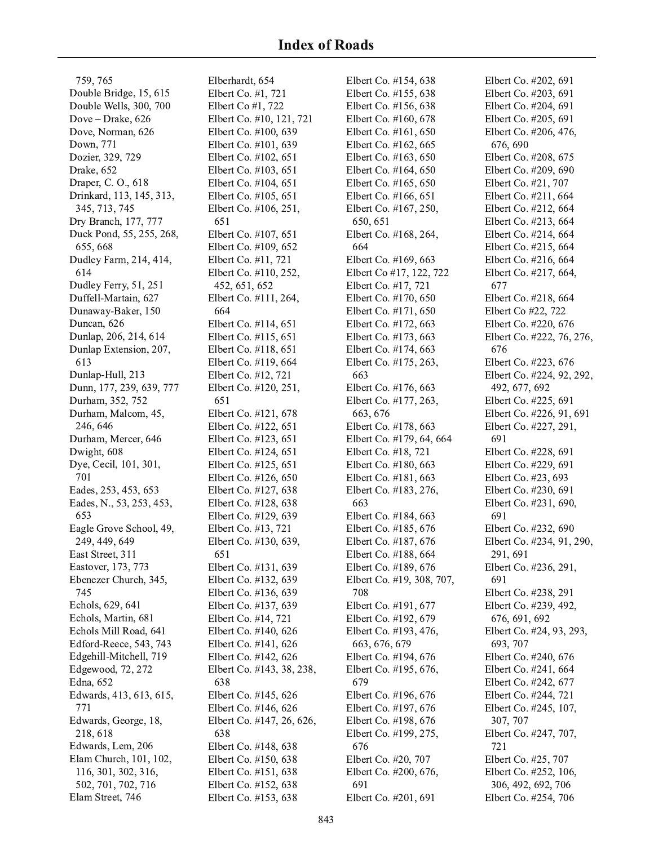759, 765 Double Bridge, 15, 615 Double Wells, 300, 700 Dove - Drake, 626 Dove, Norman, 626 Down, 771 Dozier, 329, 729 Drake, 652 Draper, C. O., 618 Drinkard, 113, 145, 313, 345, 713, 745 Dry Branch, 177, 777 Duck Pond, 55, 255, 268, 655, 668 Dudley Farm, 214, 414, 614 Dudley Ferry, 51, 251 Duffell-Martain, 627 Dunaway-Baker, 150 Duncan, 626 Dunlap, 206, 214, 614 Dunlap Extension, 207, 613 Dunlap-Hull, 213 Dunn, 177, 239, 639, 777 Durham, 352, 752 Durham, Malcom, 45, 246, 646 Durham, Mercer, 646 Dwight, 608 Dye, Cecil, 101, 301, 701 Eades, 253, 453, 653 Eades, N., 53, 253, 453, 653 Eagle Grove School, 49, 249, 449, 649 East Street, 311 Eastover, 173, 773 Ebenezer Church, 345, 745 Echols, 629, 641 Echols, Martin, 681 Echols Mill Road, 641 Edford-Reece, 543, 743 Edgehill-Mitchell, 719 Edgewood, 72, 272 Edna, 652 Edwards, 413, 613, 615, 771 Edwards, George, 18, 218, 618 Edwards, Lem, 206 Elam Church, 101, 102, 116, 301, 302, 316, 502, 701, 702, 716 Elam Street, 746

Elberhardt, 654 Elbert Co. #1, 721 Elbert Co  $#1,722$ Elbert Co. #10, 121, 721 Elbert Co. #100, 639 Elbert Co. #101, 639 Elbert Co. #102, 651 Elbert Co. #103, 651 Elbert Co. #104, 651 Elbert Co. #105, 651 Elbert Co. #106, 251, 651 Elbert Co. #107, 651 Elbert Co. #109, 652 Elbert Co. #11, 721 Elbert Co. #110, 252, 452, 651, 652 Elbert Co. #111, 264, 664 Elbert Co. #114, 651 Elbert Co. #115, 651 Elbert Co. #118, 651 Elbert Co. #119, 664 Elbert Co. #12, 721 Elbert Co. #120, 251, 651 Elbert Co. #121, 678 Elbert Co. #122, 651 Elbert Co. #123, 651 Elbert Co. #124, 651 Elbert Co. #125, 651 Elbert Co. #126, 650 Elbert Co. #127, 638 Elbert Co. #128, 638 Elbert Co. #129, 639 Elbert Co. #13, 721 Elbert Co. #130, 639, 651 Elbert Co. #131, 639 Elbert Co. #132, 639 Elbert Co. #136, 639 Elbert Co. #137, 639 Elbert Co. #14, 721 Elbert Co. #140, 626 Elbert Co. #141, 626 Elbert Co. #142, 626 Elbert Co. #143, 38, 238, 638 Elbert Co. #145, 626 Elbert Co. #146, 626 Elbert Co. #147, 26, 626, 638 Elbert Co. #148, 638 Elbert Co. #150, 638 Elbert Co. #151, 638 Elbert Co. #152, 638 Elbert Co. #153, 638

Elbert Co. #154, 638 Elbert Co. #155, 638 Elbert Co. #156, 638 Elbert Co. #160, 678 Elbert Co. #161, 650 Elbert Co. #162, 665 Elbert Co. #163, 650 Elbert Co. #164, 650 Elbert Co. #165, 650 Elbert Co. #166, 651 Elbert Co. #167, 250, 650, 651 Elbert Co. #168, 264, 664 Elbert Co. #169, 663 Elbert Co #17, 122, 722 Elbert Co. #17, 721 Elbert Co. #170, 650 Elbert Co. #171, 650 Elbert Co. #172, 663 Elbert Co. #173, 663 Elbert Co. #174, 663 Elbert Co. #175, 263, 663 Elbert Co. #176, 663 Elbert Co. #177, 263, 663, 676 Elbert Co. #178, 663 Elbert Co. #179, 64, 664 Elbert Co. #18, 721 Elbert Co. #180, 663 Elbert Co. #181, 663 Elbert Co. #183, 276, 663 Elbert Co. #184, 663 Elbert Co. #185, 676 Elbert Co. #187, 676 Elbert Co. #188, 664 Elbert Co. #189, 676 Elbert Co. #19, 308, 707, 708 Elbert Co. #191, 677 Elbert Co. #192, 679 Elbert Co. #193, 476, 663, 676, 679 Elbert Co. #194, 676 Elbert Co. #195, 676, 679 Elbert Co. #196, 676 Elbert Co. #197, 676 Elbert Co. #198, 676 Elbert Co. #199, 275, 676 Elbert Co. #20, 707 Elbert Co. #200, 676, 691 Elbert Co. #201, 691

Elbert Co. #202, 691 Elbert Co. #203, 691 Elbert Co. #204, 691 Elbert Co. #205, 691 Elbert Co. #206, 476, 676, 690 Elbert Co. #208, 675 Elbert Co. #209, 690 Elbert Co. #21, 707 Elbert Co. #211, 664 Elbert Co. #212, 664 Elbert Co. #213, 664 Elbert Co. #214, 664 Elbert Co. #215, 664 Elbert Co. #216, 664 Elbert Co. #217, 664, 677 Elbert Co. #218, 664 Elbert Co #22, 722 Elbert Co. #220, 676 Elbert Co. #222, 76, 276, 676 Elbert Co. #223, 676 Elbert Co. #224, 92, 292, 492, 677, 692 Elbert Co. #225, 691 Elbert Co. #226, 91, 691 Elbert Co. #227, 291, 691 Elbert Co. #228, 691 Elbert Co. #229, 691 Elbert Co. #23, 693 Elbert Co. #230, 691 Elbert Co. #231, 690, 691 Elbert Co. #232, 690 Elbert Co. #234, 91, 290, 291, 691 Elbert Co. #236, 291, 691 Elbert Co. #238, 291 Elbert Co. #239, 492, 676, 691, 692 Elbert Co. #24, 93, 293, 693, 707 Elbert Co. #240, 676 Elbert Co. #241, 664 Elbert Co. #242, 677 Elbert Co. #244, 721 Elbert Co. #245, 107, 307, 707 Elbert Co. #247, 707, 721 Elbert Co. #25, 707 Elbert Co. #252, 106, 306, 492, 692, 706 Elbert Co. #254, 706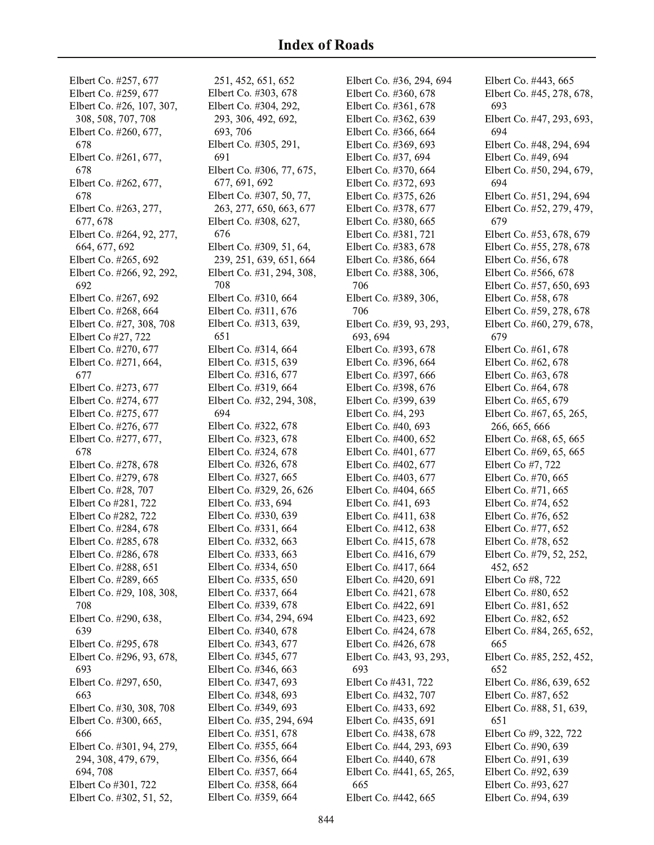Elbert Co. #257, 677 Elbert Co. #259, 677 Elbert Co. #26, 107, 307, 308, 508, 707, 708 Elbert Co. #260, 677, 678 Elbert Co. #261, 677, 678 Elbert Co. #262, 677, 678 Elbert Co. #263, 277, 677, 678 Elbert Co. #264, 92, 277, 664, 677, 692 Elbert Co. #265, 692 Elbert Co. #266, 92, 292, 692 Elbert Co. #267, 692 Elbert Co. #268, 664 Elbert Co. #27, 308, 708 Elbert Co #27, 722 Elbert Co. #270, 677 Elbert Co. #271, 664, 677 Elbert Co. #273, 677 Elbert Co. #274, 677 Elbert Co. #275, 677 Elbert Co. #276, 677 Elbert Co. #277, 677, 678 Elbert Co. #278, 678 Elbert Co. #279, 678 Elbert Co. #28, 707 Elbert Co #281, 722 Elbert Co #282, 722 Elbert Co. #284, 678 Elbert Co. #285, 678 Elbert Co. #286, 678 Elbert Co. #288, 651 Elbert Co. #289, 665 Elbert Co. #29, 108, 308, 708 Elbert Co. #290, 638, 639 Elbert Co. #295, 678 Elbert Co. #296, 93, 678, 693 Elbert Co. #297, 650, 663 Elbert Co. #30, 308, 708 Elbert Co. #300, 665, 666 Elbert Co. #301, 94, 279, 294, 308, 479, 679, 694, 708 Elbert Co #301, 722 Elbert Co. #302, 51, 52,

251, 452, 651, 652 Elbert Co. #303, 678 Elbert Co. #304, 292, 293, 306, 492, 692, 693.706 Elbert Co. #305, 291, 691 Elbert Co. #306, 77, 675, 677, 691, 692 Elbert Co. #307, 50, 77, 263, 277, 650, 663, 677 Elbert Co. #308, 627, 676 Elbert Co. #309, 51, 64, 239, 251, 639, 651, 664 Elbert Co. #31, 294, 308, 708 Elbert Co. #310, 664 Elbert Co. #311, 676 Elbert Co. #313, 639, 651 Elbert Co. #314, 664 Elbert Co. #315, 639 Elbert Co. #316, 677 Elbert Co. #319, 664 Elbert Co. #32, 294, 308, 694 Elbert Co. #322, 678 Elbert Co. #323, 678 Elbert Co. #324, 678 Elbert Co. #326, 678 Elbert Co. #327, 665 Elbert Co. #329, 26, 626 Elbert Co. #33, 694 Elbert Co. #330, 639 Elbert Co. #331, 664 Elbert Co. #332, 663 Elbert Co. #333, 663 Elbert Co. #334, 650 Elbert Co. #335, 650 Elbert Co. #337, 664 Elbert Co. #339, 678 Elbert Co. #34, 294, 694 Elbert Co. #340, 678 Elbert Co. #343, 677 Elbert Co. #345, 677 Elbert Co. #346, 663 Elbert Co. #347, 693 Elbert Co. #348, 693 Elbert Co. #349, 693 Elbert Co. #35, 294, 694 Elbert Co. #351, 678 Elbert Co. #355, 664 Elbert Co. #356, 664 Elbert Co. #357, 664 Elbert Co. #358, 664 Elbert Co. #359, 664

Elbert Co. #36, 294, 694 Elbert Co. #360, 678 Elbert Co. #361, 678 Elbert Co. #362, 639 Elbert Co. #366, 664 Elbert Co. #369, 693 Elbert Co. #37, 694 Elbert Co. #370, 664 Elbert Co. #372, 693 Elbert Co. #375, 626 Elbert Co. #378, 677 Elbert Co. #380, 665 Elbert Co. #381, 721 Elbert Co. #383, 678 Elbert Co. #386, 664 Elbert Co. #388, 306, 706 Elbert Co. #389, 306, 706 Elbert Co. #39, 93, 293, 693, 694 Elbert Co. #393, 678 Elbert Co. #396, 664 Elbert Co. #397, 666 Elbert Co. #398, 676 Elbert Co. #399, 639 Elbert Co. #4, 293 Elbert Co. #40, 693 Elbert Co. #400, 652 Elbert Co. #401, 677 Elbert Co. #402, 677 Elbert Co. #403, 677 Elbert Co. #404, 665 Elbert Co. #41, 693 Elbert Co. #411, 638 Elbert Co. #412, 638 Elbert Co. #415, 678 Elbert Co. #416, 679 Elbert Co. #417, 664 Elbert Co. #420, 691 Elbert Co. #421, 678 Elbert Co. #422, 691 Elbert Co. #423, 692 Elbert Co. #424, 678 Elbert Co. #426, 678 Elbert Co. #43, 93, 293, 693 Elbert Co #431, 722 Elbert Co. #432, 707 Elbert Co. #433, 692 Elbert Co. #435, 691 Elbert Co. #438, 678 Elbert Co. #44, 293, 693 Elbert Co. #440, 678 Elbert Co. #441, 65, 265, 665 Elbert Co. #442, 665

Elbert Co. #443, 665 Elbert Co. #45, 278, 678, 693 Elbert Co. #47, 293, 693, 694 Elbert Co. #48, 294, 694 Elbert Co. #49, 694 Elbert Co. #50, 294, 679, 694 Elbert Co. #51, 294, 694 Elbert Co. #52, 279, 479, 679 Elbert Co. #53, 678, 679 Elbert Co. #55, 278, 678 Elbert Co. #56, 678 Elbert Co. #566, 678 Elbert Co. #57, 650, 693 Elbert Co. #58, 678 Elbert Co. #59, 278, 678 Elbert Co. #60, 279, 678, 679 Elbert Co. #61, 678 Elbert Co. #62, 678 Elbert Co. #63, 678 Elbert Co. #64, 678 Elbert Co. #65, 679 Elbert Co. #67, 65, 265, 266, 665, 666 Elbert Co. #68, 65, 665 Elbert Co. #69, 65, 665 Elbert Co #7, 722 Elbert Co. #70, 665 Elbert Co. #71, 665 Elbert Co. #74, 652 Elbert Co. #76, 652 Elbert Co. #77, 652 Elbert Co. #78, 652 Elbert Co. #79, 52, 252, 452, 652 Elbert Co #8, 722 Elbert Co. #80, 652 Elbert Co. #81, 652 Elbert Co. #82, 652 Elbert Co. #84, 265, 652, 665 Elbert Co. #85, 252, 452, 652 Elbert Co. #86, 639, 652 Elbert Co. #87, 652 Elbert Co. #88, 51, 639, 651 Elbert Co #9, 322, 722 Elbert Co. #90, 639 Elbert Co. #91, 639 Elbert Co. #92, 639 Elbert Co. #93, 627 Elbert Co. #94, 639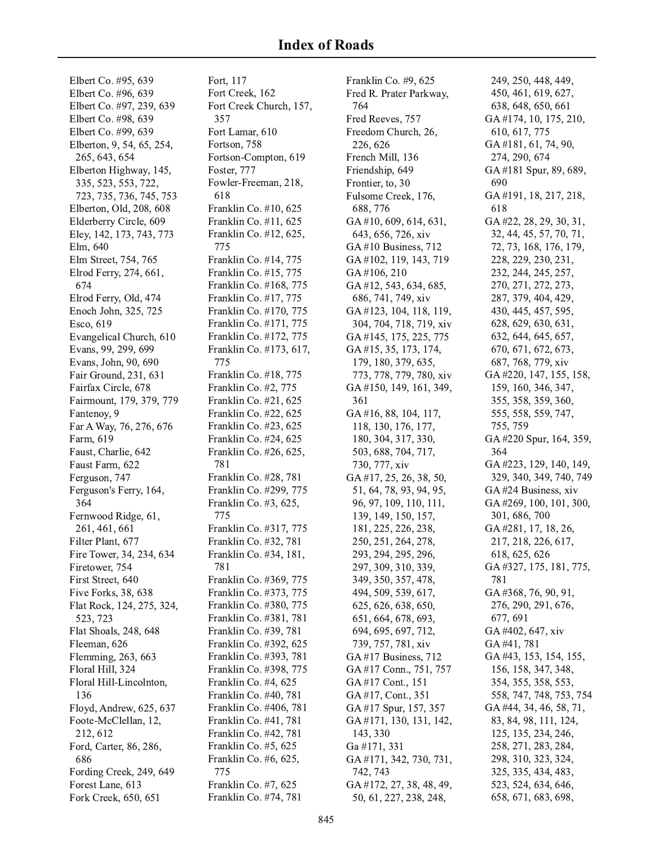Elbert Co. #95, 639 Elbert Co. #96, 639 Elbert Co. #97, 239, 639 Elbert Co. #98, 639 Elbert Co. #99, 639 Elberton, 9, 54, 65, 254, 265, 643, 654 Elberton Highway, 145, 335, 523, 553, 722, 723, 735, 736, 745, 753 Elberton, Old, 208, 608 Elderberry Circle, 609 Eley, 142, 173, 743, 773 Elm, 640 Elm Street, 754, 765 Elrod Ferry, 274, 661, 674 Elrod Ferry, Old, 474 Enoch John, 325, 725 Esco, 619 Evangelical Church, 610 Evans, 99, 299, 699 Evans, John, 90, 690 Fair Ground, 231, 631 Fairfax Circle, 678 Fairmount, 179, 379, 779 Fantenoy, 9 Far A Way, 76, 276, 676 Farm, 619 Faust, Charlie, 642 Faust Farm, 622 Ferguson, 747 Ferguson's Ferry, 164, 364 Fernwood Ridge, 61, 261, 461, 661 Filter Plant, 677 Fire Tower, 34, 234, 634 Firetower, 754 First Street, 640 Five Forks, 38, 638 Flat Rock, 124, 275, 324, 523, 723 Flat Shoals, 248, 648 Fleeman, 626 Flemming, 263, 663 Floral Hill, 324 Floral Hill-Lincolnton, 136 Floyd, Andrew, 625, 637 Foote-McClellan, 12, 212, 612 Ford, Carter, 86, 286, 686 Fording Creek, 249, 649 Forest Lane, 613 Fork Creek, 650, 651

Fort, 117 Fort Creek, 162 Fort Creek Church, 157, 357 Fort Lamar, 610 Fortson, 758 Fortson-Compton, 619 Foster, 777 Fowler-Freeman, 218, 618 Franklin Co. #10, 625 Franklin Co. #11, 625 Franklin Co. #12, 625, 775 Franklin Co. #14, 775 Franklin Co. #15, 775 Franklin Co. #168, 775 Franklin Co. #17, 775 Franklin Co. #170, 775 Franklin Co. #171, 775 Franklin Co. #172, 775 Franklin Co. #173, 617, 775 Franklin Co. #18, 775 Franklin Co. #2, 775 Franklin Co. #21, 625 Franklin Co. #22, 625 Franklin Co. #23, 625 Franklin Co. #24, 625 Franklin Co. #26, 625, 781 Franklin Co. #28, 781 Franklin Co. #299, 775 Franklin Co. #3, 625, 775 Franklin Co. #317, 775 Franklin Co. #32, 781 Franklin Co. #34, 181, 781 Franklin Co. #369, 775 Franklin Co. #373, 775 Franklin Co. #380, 775 Franklin Co. #381, 781 Franklin Co. #39, 781 Franklin Co. #392, 625 Franklin Co. #393, 781 Franklin Co. #398, 775 Franklin Co. #4, 625 Franklin Co. #40, 781 Franklin Co. #406, 781 Franklin Co. #41, 781 Franklin Co. #42, 781 Franklin Co. #5, 625 Franklin Co. #6, 625, 775 Franklin Co. #7, 625 Franklin Co. #74, 781

Franklin Co. #9, 625 Fred R. Prater Parkway, 764 Fred Reeves, 757 Freedom Church, 26, 226, 626 French Mill, 136 Friendship, 649 Frontier, to, 30 Fulsome Creek, 176, 688,776 GA#10, 609, 614, 631, 643, 656, 726, xiv  $GA #10 Business, 712$ GA#102, 119, 143, 719 GA#106, 210 GA#12, 543, 634, 685, 686, 741, 749, xiv GA#123, 104, 118, 119, 304, 704, 718, 719, xiv GA#145, 175, 225, 775 GA#15, 35, 173, 174, 179, 180, 379, 635, 773, 778, 779, 780, xiv GA#150, 149, 161, 349, 361 GA#16, 88, 104, 117, 118, 130, 176, 177, 180, 304, 317, 330, 503, 688, 704, 717, 730, 777, xiv GA#17, 25, 26, 38, 50, 51, 64, 78, 93, 94, 95, 96, 97, 109, 110, 111, 139, 149, 150, 157, 181, 225, 226, 238, 250, 251, 264, 278, 293, 294, 295, 296, 297, 309, 310, 339, 349, 350, 357, 478, 494, 509, 539, 617, 625, 626, 638, 650, 651, 664, 678, 693, 694, 695, 697, 712, 739, 757, 781, xiv GA#17 Business, 712 GA#17 Conn., 751, 757 GA#17 Cont., 151 GA#17, Cont., 351 GA#17 Spur, 157, 357 GA#171, 130, 131, 142, 143, 330 Ga #171, 331 GA#171, 342, 730, 731, 742, 743 GA #172, 27, 38, 48, 49, 50, 61, 227, 238, 248,

249, 250, 448, 449, 450, 461, 619, 627, 638, 648, 650, 661 GA#174, 10, 175, 210, 610, 617, 775 GA#181, 61, 74, 90, 274, 290, 674 GA#181 Spur, 89, 689, 690 GA#191, 18, 217, 218, 618 GA#22, 28, 29, 30, 31, 32, 44, 45, 57, 70, 71, 72, 73, 168, 176, 179, 228, 229, 230, 231, 232, 244, 245, 257, 270, 271, 272, 273, 287, 379, 404, 429, 430, 445, 457, 595, 628, 629, 630, 631, 632, 644, 645, 657, 670, 671, 672, 673, 687, 768, 779, xiv GA#220, 147, 155, 158, 159, 160, 346, 347, 355, 358, 359, 360, 555, 558, 559, 747, 755, 759 GA#220 Spur, 164, 359, 364 GA#223, 129, 140, 149, 329, 340, 349, 740, 749 GA#24 Business, xiv GA#269, 100, 101, 300, 301, 686, 700 GA#281, 17, 18, 26, 217, 218, 226, 617, 618, 625, 626 GA#327, 175, 181, 775, 781 GA#368, 76, 90, 91, 276, 290, 291, 676, 677, 691 GA#402, 647, xiv GA#41,781 GA#43, 153, 154, 155, 156, 158, 347, 348, 354, 355, 358, 553, 558, 747, 748, 753, 754 GA #44, 34, 46, 58, 71, 83, 84, 98, 111, 124, 125, 135, 234, 246, 258, 271, 283, 284, 298, 310, 323, 324, 325, 335, 434, 483, 523, 524, 634, 646, 658, 671, 683, 698,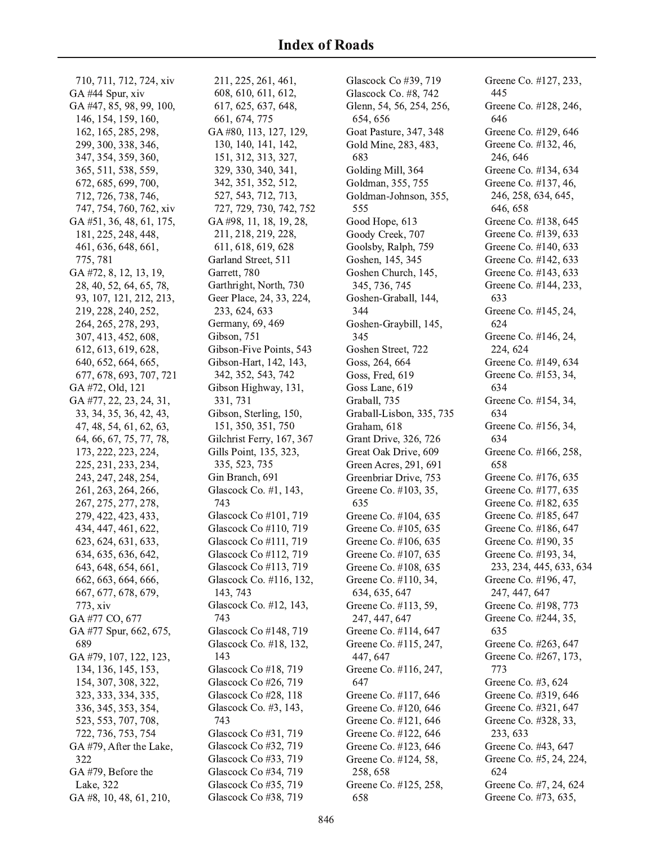710, 711, 712, 724, xiv GA#44 Spur, xiv GA#47, 85, 98, 99, 100, 146, 154, 159, 160, 162, 165, 285, 298, 299, 300, 338, 346, 347, 354, 359, 360, 365, 511, 538, 559, 672, 685, 699, 700, 712, 726, 738, 746, 747, 754, 760, 762, xiv GA#51, 36, 48, 61, 175, 181, 225, 248, 448, 461, 636, 648, 661, 775, 781 GA#72, 8, 12, 13, 19, 28, 40, 52, 64, 65, 78, 93, 107, 121, 212, 213, 219, 228, 240, 252, 264, 265, 278, 293, 307, 413, 452, 608, 612, 613, 619, 628, 640, 652, 664, 665, 677, 678, 693, 707, 721 GA#72, Old, 121 GA#77, 22, 23, 24, 31, 33, 34, 35, 36, 42, 43, 47, 48, 54, 61, 62, 63, 64, 66, 67, 75, 77, 78, 173, 222, 223, 224, 225, 231, 233, 234, 243, 247, 248, 254, 261, 263, 264, 266, 267, 275, 277, 278, 279, 422, 423, 433, 434, 447, 461, 622, 623, 624, 631, 633, 634, 635, 636, 642, 643, 648, 654, 661, 662, 663, 664, 666, 667, 677, 678, 679, 773, xiv GA#77 CO, 677 GA #77 Spur, 662, 675, 689 GA#79, 107, 122, 123, 134, 136, 145, 153, 154, 307, 308, 322, 323, 333, 334, 335, 336, 345, 353, 354, 523, 553, 707, 708, 722, 736, 753, 754 GA#79, After the Lake, 322 GA#79, Before the Lake, 322

GA#8, 10, 48, 61, 210,

211, 225, 261, 461, 608, 610, 611, 612, 617, 625, 637, 648, 661, 674, 775 GA#80, 113, 127, 129, 130, 140, 141, 142, 151, 312, 313, 327, 329, 330, 340, 341, 342, 351, 352, 512, 527, 543, 712, 713, 727, 729, 730, 742, 752 GA#98, 11, 18, 19, 28, 211, 218, 219, 228, 611, 618, 619, 628 Garland Street, 511 Garrett, 780 Garthright, North, 730 Geer Place, 24, 33, 224, 233, 624, 633 Germany, 69, 469 Gibson, 751 Gibson-Five Points, 543 Gibson-Hart, 142, 143, 342, 352, 543, 742 Gibson Highway, 131, 331, 731 Gibson, Sterling, 150, 151, 350, 351, 750 Gilchrist Ferry, 167, 367 Gills Point, 135, 323, 335, 523, 735 Gin Branch, 691 Glascock Co. #1, 143, 743 Glascock Co #101, 719 Glascock Co #110, 719 Glascock Co #111, 719 Glascock Co #112, 719 Glascock Co #113, 719 Glascock Co. #116, 132, 143, 743 Glascock Co. #12, 143, 743 Glascock Co #148, 719 Glascock Co. #18, 132, 143 Glascock Co #18, 719 Glascock Co #26, 719 Glascock Co #28, 118 Glascock Co. #3, 143, 743 Glascock Co #31, 719 Glascock Co #32, 719 Glascock Co #33, 719 Glascock Co #34, 719 Glascock Co #35, 719 Glascock Co #38, 719

Glascock Co #39, 719 Glascock Co. #8, 742 Glenn, 54, 56, 254, 256, 654, 656 Goat Pasture, 347, 348 Gold Mine, 283, 483, 683 Golding Mill, 364 Goldman, 355, 755 Goldman-Johnson, 355, 555 Good Hope, 613 Goody Creek, 707 Goolsby, Ralph, 759 Goshen, 145, 345 Goshen Church, 145, 345, 736, 745 Goshen-Graball, 144, 344 Goshen-Graybill, 145, 345 Goshen Street, 722 Goss, 264, 664 Goss, Fred, 619 Goss Lane, 619 Graball, 735 Graball-Lisbon, 335, 735 Graham, 618 Grant Drive, 326, 726 Great Oak Drive, 609 Green Acres, 291, 691 Greenbriar Drive, 753 Greene Co. #103, 35, 635 Greene Co. #104, 635 Greene Co. #105, 635 Greene Co. #106, 635 Greene Co. #107, 635 Greene Co. #108, 635 Greene Co. #110, 34, 634, 635, 647 Greene Co. #113, 59, 247, 447, 647 Greene Co. #114, 647 Greene Co. #115, 247, 447, 647 Greene Co. #116, 247, 647 Greene Co. #117, 646 Greene Co. #120, 646 Greene Co. #121, 646 Greene Co. #122, 646 Greene Co. #123, 646 Greene Co. #124, 58, 258,658 Greene Co. #125, 258, 658

Greene Co. #127, 233, 445 Greene Co. #128, 246, 646 Greene Co. #129, 646 Greene Co. #132, 46, 246, 646 Greene Co. #134, 634 Greene Co. #137, 46, 246, 258, 634, 645, 646, 658 Greene Co. #138, 645 Greene Co. #139, 633 Greene Co. #140, 633 Greene Co. #142, 633 Greene Co. #143, 633 Greene Co. #144, 233, 633 Greene Co. #145, 24, 624 Greene Co. #146, 24, 224, 624 Greene Co. #149, 634 Greene Co. #153, 34, 634 Greene Co. #154, 34, 634 Greene Co. #156, 34, 634 Greene Co. #166, 258, 658 Greene Co. #176, 635 Greene Co. #177, 635 Greene Co. #182, 635 Greene Co. #185, 647 Greene Co. #186, 647 Greene Co. #190, 35 Greene Co. #193, 34, 233, 234, 445, 633, 634 Greene Co. #196, 47, 247, 447, 647 Greene Co. #198, 773 Greene Co. #244, 35, 635 Greene Co. #263, 647 Greene Co. #267, 173, 773 Greene Co. #3, 624 Greene Co. #319, 646 Greene Co. #321, 647 Greene Co. #328, 33, 233, 633 Greene Co. #43, 647 Greene Co. #5, 24, 224, 624 Greene Co. #7, 24, 624 Greene Co. #73, 635,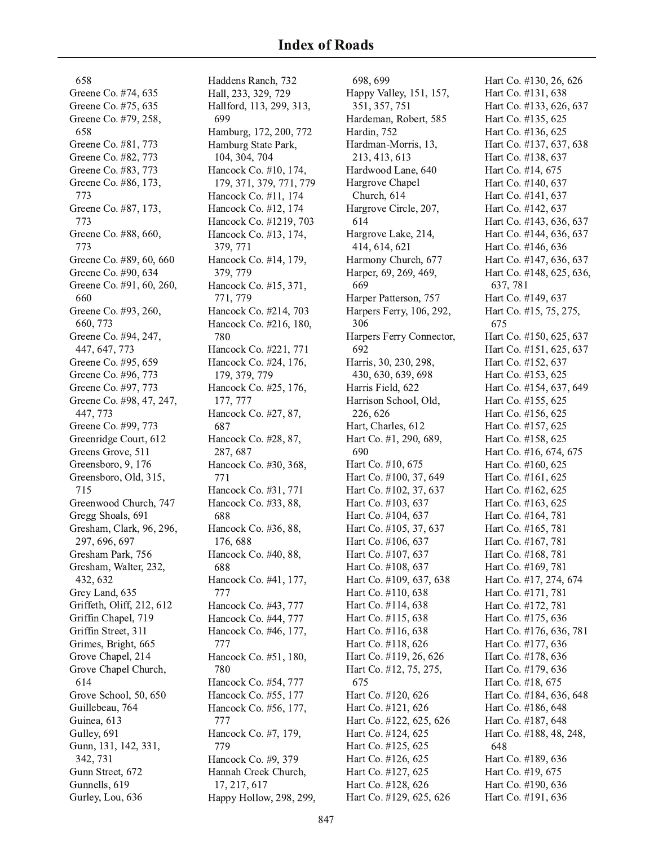658 Greene Co. #74, 635 Greene Co. #75, 635 Greene Co. #79, 258, 658 Greene Co. #81, 773 Greene Co. #82, 773 Greene Co. #83, 773 Greene Co. #86, 173, 773 Greene Co. #87, 173, 773 Greene Co. #88, 660, 773 Greene Co. #89, 60, 660 Greene Co. #90, 634 Greene Co. #91, 60, 260, 660 Greene Co. #93, 260, 660, 773 Greene Co. #94, 247, 447, 647, 773 Greene Co. #95, 659 Greene Co. #96, 773 Greene Co. #97, 773 Greene Co. #98, 47, 247, 447, 773 Greene Co. #99, 773 Greenridge Court, 612 Greens Grove, 511 Greensboro, 9, 176 Greensboro, Old, 315, 715 Greenwood Church, 747 Gregg Shoals, 691 Gresham, Clark, 96, 296, 297, 696, 697 Gresham Park, 756 Gresham, Walter, 232, 432, 632 Grey Land, 635 Griffeth, Oliff, 212, 612 Griffin Chapel, 719 Griffin Street, 311 Grimes, Bright, 665 Grove Chapel, 214 Grove Chapel Church, 614 Grove School, 50, 650 Guillebeau, 764 Guinea, 613 Gulley, 691 Gunn, 131, 142, 331, 342, 731 Gunn Street, 672 Gunnells, 619 Gurley, Lou, 636

Haddens Ranch, 732 Hall, 233, 329, 729 Hallford, 113, 299, 313, 699 Hamburg, 172, 200, 772 Hamburg State Park, 104, 304, 704 Hancock Co. #10, 174, 179, 371, 379, 771, 779 Hancock Co. #11, 174 Hancock Co. #12, 174 Hancock Co. #1219, 703 Hancock Co. #13, 174, 379, 771 Hancock Co. #14, 179, 379, 779 Hancock Co. #15, 371, 771, 779 Hancock Co. #214, 703 Hancock Co. #216, 180, 780 Hancock Co. #221, 771 Hancock Co. #24, 176, 179, 379, 779 Hancock Co. #25, 176, 177, 777 Hancock Co. #27, 87, 687 Hancock Co. #28, 87, 287, 687 Hancock Co. #30, 368, 771 Hancock Co. #31, 771 Hancock Co. #33, 88, 688 Hancock Co. #36, 88, 176, 688 Hancock Co. #40, 88, 688 Hancock Co. #41, 177, 777 Hancock Co. #43, 777 Hancock Co. #44, 777 Hancock Co. #46, 177, 777 Hancock Co. #51, 180, 780 Hancock Co. #54, 777 Hancock Co. #55, 177 Hancock Co. #56, 177, 777 Hancock Co. #7, 179, 779 Hancock Co. #9, 379 Hannah Creek Church, 17, 217, 617 Happy Hollow, 298, 299,

698.699 Happy Valley, 151, 157, 351, 357, 751 Hardeman, Robert, 585 Hardin, 752 Hardman-Morris, 13, 213, 413, 613 Hardwood Lane, 640 Hargrove Chapel Church, 614 Hargrove Circle, 207, 614 Hargrove Lake, 214, 414, 614, 621 Harmony Church, 677 Harper, 69, 269, 469, 669 Harper Patterson, 757 Harpers Ferry, 106, 292, 306 Harpers Ferry Connector, 692 Harris, 30, 230, 298, 430, 630, 639, 698 Harris Field, 622 Harrison School, Old, 226, 626 Hart, Charles, 612 Hart Co. #1, 290, 689, 690 Hart Co. #10, 675 Hart Co. #100, 37, 649 Hart Co. #102, 37, 637 Hart Co. #103, 637 Hart Co. #104, 637 Hart Co. #105, 37, 637 Hart Co. #106, 637 Hart Co. #107, 637 Hart Co. #108, 637 Hart Co. #109, 637, 638 Hart Co. #110, 638 Hart Co. #114, 638 Hart Co. #115, 638 Hart Co. #116, 638 Hart Co. #118, 626 Hart Co. #119, 26, 626 Hart Co. #12, 75, 275, 675 Hart Co. #120, 626 Hart Co. #121, 626 Hart Co. #122, 625, 626 Hart Co. #124, 625 Hart Co. #125, 625 Hart Co. #126, 625 Hart Co. #127, 625 Hart Co. #128, 626 Hart Co. #129, 625, 626

Hart Co. #130, 26, 626 Hart Co. #131, 638 Hart Co. #133, 626, 637 Hart Co. #135, 625 Hart Co. #136, 625 Hart Co. #137, 637, 638 Hart Co. #138, 637 Hart Co. #14, 675 Hart Co. #140, 637 Hart Co. #141, 637 Hart Co. #142, 637 Hart Co. #143, 636, 637 Hart Co. #144, 636, 637 Hart Co. #146, 636 Hart Co. #147, 636, 637 Hart Co. #148, 625, 636, 637, 781 Hart Co. #149, 637 Hart Co. #15, 75, 275, 675 Hart Co. #150, 625, 637 Hart Co. #151, 625, 637 Hart Co. #152, 637 Hart Co. #153, 625 Hart Co. #154, 637, 649 Hart Co. #155, 625 Hart Co. #156, 625 Hart Co. #157, 625 Hart Co. #158, 625 Hart Co. #16, 674, 675 Hart Co. #160, 625 Hart Co. #161, 625 Hart Co. #162, 625 Hart Co. #163, 625 Hart Co. #164, 781 Hart Co. #165, 781 Hart Co. #167, 781 Hart Co. #168, 781 Hart Co. #169, 781 Hart Co. #17, 274, 674 Hart Co. #171, 781 Hart Co. #172, 781 Hart Co. #175, 636 Hart Co. #176, 636, 781 Hart Co. #177, 636 Hart Co. #178, 636 Hart Co. #179, 636 Hart Co. #18, 675 Hart Co. #184, 636, 648 Hart Co. #186, 648 Hart Co. #187, 648 Hart Co. #188, 48, 248, 648 Hart Co. #189, 636 Hart Co. #19, 675 Hart Co. #190, 636 Hart Co. #191, 636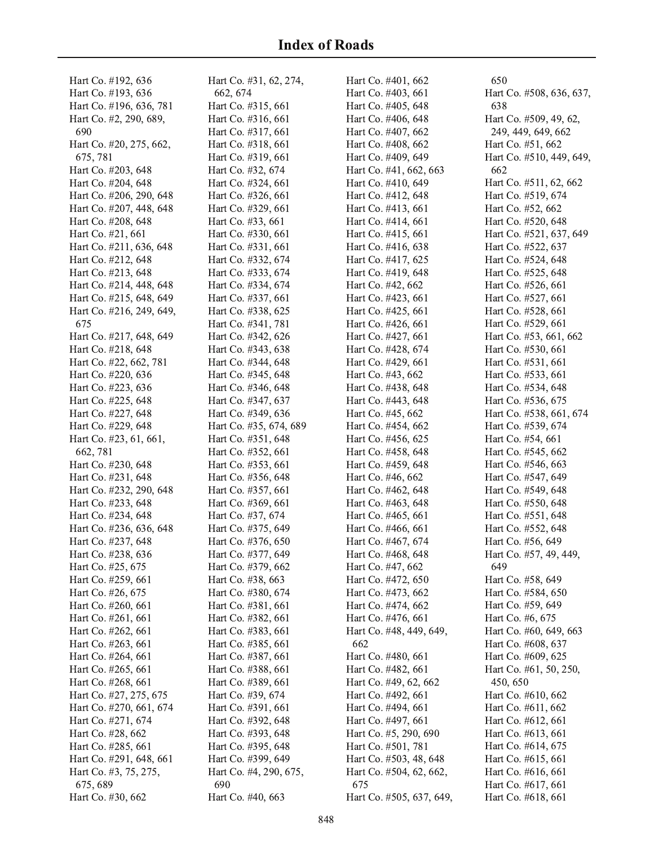Hart Co. #192, 636 Hart Co. #193, 636 Hart Co. #196, 636, 781 Hart Co. #2, 290, 689, 690 Hart Co. #20, 275, 662, 675, 781 Hart Co. #203, 648 Hart Co. #204, 648 Hart Co. #206, 290, 648 Hart Co. #207, 448, 648 Hart Co. #208, 648 Hart Co. #21, 661 Hart Co. #211, 636, 648 Hart Co. #212, 648 Hart Co. #213, 648 Hart Co. #214, 448, 648 Hart Co. #215, 648, 649 Hart Co. #216, 249, 649, 675 Hart Co. #217, 648, 649 Hart Co. #218, 648 Hart Co. #22, 662, 781 Hart Co. #220, 636 Hart Co. #223, 636 Hart Co. #225, 648 Hart Co. #227, 648 Hart Co. #229, 648 Hart Co. #23, 61, 661, 662, 781 Hart Co. #230, 648 Hart Co. #231, 648 Hart Co. #232, 290, 648 Hart Co. #233, 648 Hart Co. #234, 648 Hart Co. #236, 636, 648 Hart Co. #237, 648 Hart Co. #238, 636 Hart Co. #25, 675 Hart Co. #259, 661 Hart Co. #26, 675 Hart Co. #260, 661 Hart Co. #261, 661 Hart Co. #262, 661 Hart Co. #263, 661 Hart Co. #264, 661 Hart Co. #265, 661 Hart Co. #268, 661 Hart Co. #27, 275, 675 Hart Co. #270, 661, 674 Hart Co. #271, 674 Hart Co. #28, 662 Hart Co. #285, 661 Hart Co. #291, 648, 661 Hart Co. #3, 75, 275, 675, 689 Hart Co. #30, 662

Hart Co. #31, 62, 274, 662, 674 Hart Co. #315, 661 Hart Co. #316, 661 Hart Co. #317, 661 Hart Co. #318, 661 Hart Co. #319, 661 Hart Co. #32, 674 Hart Co. #324, 661 Hart Co. #326, 661 Hart Co. #329, 661 Hart Co. #33, 661 Hart Co. #330, 661 Hart Co. #331, 661 Hart Co. #332, 674 Hart Co. #333, 674 Hart Co. #334, 674 Hart Co. #337, 661 Hart Co. #338, 625 Hart Co. #341, 781 Hart Co. #342, 626 Hart Co. #343, 638 Hart Co. #344, 648 Hart Co. #345, 648 Hart Co. #346, 648 Hart Co. #347, 637 Hart Co. #349, 636 Hart Co. #35, 674, 689 Hart Co. #351, 648 Hart Co. #352, 661 Hart Co. #353, 661 Hart Co. #356, 648 Hart Co. #357, 661 Hart Co. #369, 661 Hart Co. #37, 674 Hart Co. #375, 649 Hart Co. #376, 650 Hart Co. #377, 649 Hart Co. #379, 662 Hart Co. #38, 663 Hart Co. #380, 674 Hart Co. #381, 661 Hart Co. #382, 661 Hart Co. #383, 661 Hart Co. #385, 661 Hart Co. #387, 661 Hart Co. #388, 661 Hart Co. #389, 661 Hart Co. #39, 674 Hart Co. #391, 661 Hart Co. #392, 648 Hart Co. #393, 648 Hart Co. #395, 648 Hart Co. #399, 649 Hart Co. #4, 290, 675, 690 Hart Co. #40, 663

Hart Co. #401, 662 Hart Co. #403, 661 Hart Co. #405, 648 Hart Co. #406, 648 Hart Co. #407, 662 Hart Co. #408, 662 Hart Co. #409, 649 Hart Co. #41, 662, 663 Hart Co. #410, 649 Hart Co. #412, 648 Hart Co. #413, 661 Hart Co. #414, 661 Hart Co. #415, 661 Hart Co. #416, 638 Hart Co. #417, 625 Hart Co. #419, 648 Hart Co. #42, 662 Hart Co. #423, 661 Hart Co. #425, 661 Hart Co. #426, 661 Hart Co. #427, 661 Hart Co. #428, 674 Hart Co. #429, 661 Hart Co. #43, 662 Hart Co. #438, 648 Hart Co. #443, 648 Hart Co. #45, 662 Hart Co. #454, 662 Hart Co. #456, 625 Hart Co. #458, 648 Hart Co. #459, 648 Hart Co. #46, 662 Hart Co. #462, 648 Hart Co. #463, 648 Hart Co. #465, 661 Hart Co. #466, 661 Hart Co. #467, 674 Hart Co. #468, 648 Hart Co. #47, 662 Hart Co. #472, 650 Hart Co. #473, 662 Hart Co. #474, 662 Hart Co. #476, 661 Hart Co. #48, 449, 649, 662 Hart Co. #480, 661 Hart Co. #482, 661 Hart Co. #49, 62, 662 Hart Co. #492, 661 Hart Co. #494, 661 Hart Co. #497, 661 Hart Co. #5, 290, 690 Hart Co. #501, 781 Hart Co. #503, 48, 648 Hart Co. #504, 62, 662, 675 Hart Co. #505, 637, 649,

650 Hart Co. #508, 636, 637, 638 Hart Co. #509, 49, 62, 249, 449, 649, 662 Hart Co. #51, 662 Hart Co. #510, 449, 649, 662 Hart Co. #511, 62, 662 Hart Co. #519, 674 Hart Co. #52, 662 Hart Co. #520, 648 Hart Co. #521, 637, 649 Hart Co. #522, 637 Hart Co. #524, 648 Hart Co. #525, 648 Hart Co. #526, 661 Hart Co. #527, 661 Hart Co. #528, 661 Hart Co. #529, 661 Hart Co. #53, 661, 662 Hart Co. #530, 661 Hart Co. #531, 661 Hart Co. #533, 661 Hart Co. #534, 648 Hart Co. #536, 675 Hart Co. #538, 661, 674 Hart Co. #539, 674 Hart Co. #54, 661 Hart Co. #545, 662 Hart Co. #546, 663 Hart Co. #547, 649 Hart Co. #549, 648 Hart Co. #550, 648 Hart Co. #551, 648 Hart Co. #552, 648 Hart Co. #56, 649 Hart Co. #57, 49, 449, 649 Hart Co. #58, 649 Hart Co. #584, 650 Hart Co. #59, 649 Hart Co. #6, 675 Hart Co. #60, 649, 663 Hart Co. #608, 637 Hart Co. #609, 625 Hart Co. #61, 50, 250, 450,650 Hart Co. #610, 662 Hart Co. #611, 662 Hart Co. #612, 661 Hart Co. #613, 661 Hart Co. #614, 675 Hart Co. #615, 661 Hart Co. #616, 661 Hart Co. #617, 661 Hart Co. #618, 661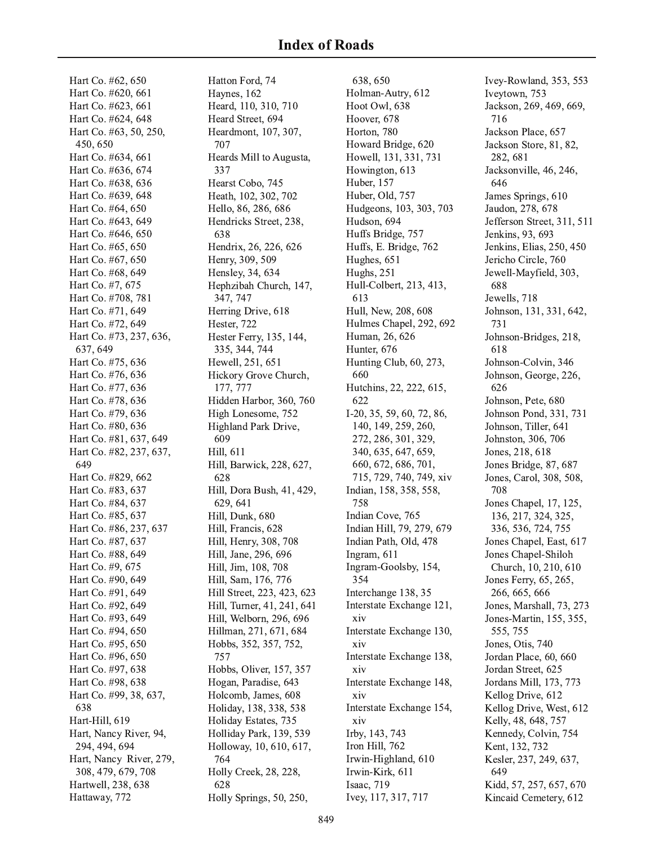Hart Co. #62, 650 Hart Co. #620, 661 Hart Co. #623, 661 Hart Co. #624, 648 Hart Co. #63, 50, 250, 450,650 Hart Co. #634, 661 Hart Co. #636, 674 Hart Co. #638, 636 Hart Co. #639, 648 Hart Co. #64, 650 Hart Co. #643, 649 Hart Co. #646, 650 Hart Co. #65, 650 Hart Co. #67, 650 Hart Co. #68, 649 Hart Co. #7, 675 Hart Co. #708, 781 Hart Co. #71, 649 Hart Co. #72, 649 Hart Co. #73, 237, 636, 637.649 Hart Co. #75, 636 Hart Co. #76, 636 Hart Co. #77, 636 Hart Co. #78, 636 Hart Co. #79, 636 Hart Co. #80, 636 Hart Co. #81, 637, 649 Hart Co. #82, 237, 637, 649 Hart Co. #829, 662 Hart Co. #83, 637 Hart Co. #84, 637 Hart Co. #85, 637 Hart Co. #86, 237, 637 Hart Co. #87, 637 Hart Co. #88, 649 Hart Co. #9, 675 Hart Co. #90, 649 Hart Co. #91, 649 Hart Co. #92, 649 Hart Co. #93, 649 Hart Co. #94, 650 Hart Co. #95, 650 Hart Co. #96, 650 Hart Co. #97, 638 Hart Co. #98, 638 Hart Co. #99, 38, 637, 638 Hart-Hill, 619 Hart, Nancy River, 94, 294, 494, 694 Hart, Nancy River, 279, 308, 479, 679, 708 Hartwell, 238, 638 Hattaway, 772

Hatton Ford, 74 Haynes, 162 Heard, 110, 310, 710 Heard Street, 694 Heardmont, 107, 307, 707 Heards Mill to Augusta, 337 Hearst Cobo, 745 Heath, 102, 302, 702 Hello, 86, 286, 686 Hendricks Street, 238, 638 Hendrix, 26, 226, 626 Henry, 309, 509 Hensley, 34, 634 Hephzibah Church, 147, 347, 747 Herring Drive, 618 Hester, 722 Hester Ferry, 135, 144, 335, 344, 744 Hewell, 251, 651 Hickory Grove Church, 177, 777 Hidden Harbor, 360, 760 High Lonesome, 752 Highland Park Drive, 609 Hill, 611 Hill, Barwick, 228, 627, 628 Hill, Dora Bush, 41, 429, 629, 641 Hill, Dunk, 680 Hill, Francis, 628 Hill, Henry, 308, 708 Hill, Jane, 296, 696 Hill, Jim, 108, 708 Hill, Sam, 176, 776 Hill Street, 223, 423, 623 Hill, Turner, 41, 241, 641 Hill, Welborn, 296, 696 Hillman, 271, 671, 684 Hobbs, 352, 357, 752, 757 Hobbs, Oliver, 157, 357 Hogan, Paradise, 643 Holcomb, James, 608 Holiday, 138, 338, 538 Holiday Estates, 735 Holliday Park, 139, 539 Holloway, 10, 610, 617, 764 Holly Creek, 28, 228, 628 Holly Springs, 50, 250,

638, 650 Holman-Autry, 612 Hoot Owl, 638 Hoover, 678 Horton, 780 Howard Bridge, 620 Howell, 131, 331, 731 Howington, 613 Huber, 157 Huber, Old, 757 Hudgeons, 103, 303, 703 Hudson, 694 Huffs Bridge, 757 Huffs, E. Bridge, 762 Hughes, 651 **Hughs**, 251 Hull-Colbert, 213, 413, 613 Hull, New, 208, 608 Hulmes Chapel, 292, 692 Human, 26, 626 Hunter, 676 Hunting Club, 60, 273, 660 Hutchins, 22, 222, 615, 622 I-20, 35, 59, 60, 72, 86, 140, 149, 259, 260, 272, 286, 301, 329, 340, 635, 647, 659, 660, 672, 686, 701, 715, 729, 740, 749, xiv Indian, 158, 358, 558, 758 Indian Cove, 765 Indian Hill, 79, 279, 679 Indian Path, Old, 478 Ingram, 611 Ingram-Goolsby, 154, 354 Interchange 138, 35 Interstate Exchange 121, xiv Interstate Exchange 130, xiv Interstate Exchange 138, xiv Interstate Exchange 148, xiv Interstate Exchange 154, xiv Irby, 143, 743 Iron Hill, 762 Irwin-Highland, 610 Irwin-Kirk, 611 Isaac, 719 Ivey, 117, 317, 717

Ivey-Rowland, 353, 553 Iveytown, 753 Jackson, 269, 469, 669, 716 Jackson Place, 657 Jackson Store, 81, 82, 282, 681 Jacksonville, 46, 246, 646 James Springs, 610 Jaudon, 278, 678 Jefferson Street, 311, 511 Jenkins, 93, 693 Jenkins, Elias, 250, 450 Jericho Circle, 760 Jewell-Mayfield, 303, 688 Jewells, 718 Johnson, 131, 331, 642, 731 Johnson-Bridges, 218, 618 Johnson-Colvin, 346 Johnson, George, 226, 626 Johnson, Pete, 680 Johnson Pond, 331, 731 Johnson, Tiller, 641 Johnston, 306, 706 Jones, 218, 618 Jones Bridge, 87, 687 Jones, Carol, 308, 508, 708 Jones Chapel, 17, 125, 136, 217, 324, 325, 336, 536, 724, 755 Jones Chapel, East, 617 Jones Chapel-Shiloh Church, 10, 210, 610 Jones Ferry, 65, 265, 266, 665, 666 Jones, Marshall, 73, 273 Jones-Martin, 155, 355, 555, 755 Jones, Otis, 740 Jordan Place, 60, 660 Jordan Street, 625 Jordans Mill, 173, 773 Kellog Drive, 612 Kellog Drive, West, 612 Kelly, 48, 648, 757 Kennedy, Colvin, 754 Kent, 132, 732 Kesler, 237, 249, 637, 649 Kidd, 57, 257, 657, 670 Kincaid Cemetery, 612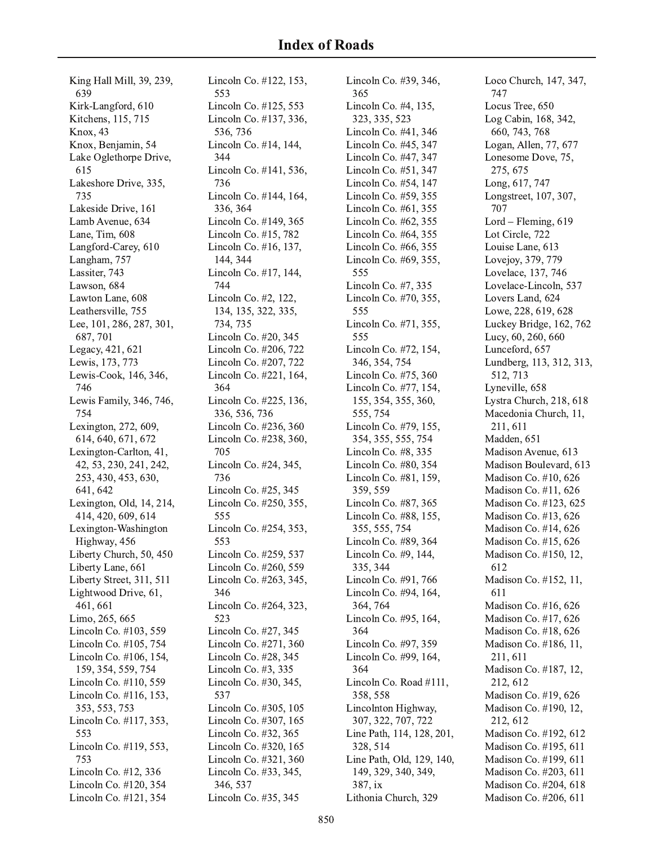King Hall Mill, 39, 239, 639 Kirk-Langford, 610 Kitchens, 115, 715 **Knox**, 43 Knox, Benjamin, 54 Lake Oglethorpe Drive, 615 Lakeshore Drive, 335, 735 Lakeside Drive, 161 Lamb Avenue, 634 Lane, Tim, 608 Langford-Carey, 610 Langham, 757 Lassiter, 743 Lawson, 684 Lawton Lane, 608 Leathersville, 755 Lee, 101, 286, 287, 301, 687,701 Legacy, 421, 621 Lewis, 173, 773 Lewis-Cook, 146, 346, 746 Lewis Family, 346, 746, 754 Lexington, 272, 609, 614, 640, 671, 672 Lexington-Carlton, 41, 42, 53, 230, 241, 242, 253, 430, 453, 630, 641, 642 Lexington, Old, 14, 214, 414, 420, 609, 614 Lexington-Washington Highway, 456 Liberty Church, 50, 450 Liberty Lane, 661 Liberty Street, 311, 511 Lightwood Drive, 61, 461, 661 Limo, 265, 665 Lincoln Co. #103, 559 Lincoln Co. #105, 754 Lincoln Co. #106, 154, 159, 354, 559, 754 Lincoln Co. #110, 559 Lincoln Co. #116, 153, 353, 553, 753 Lincoln Co. #117, 353, 553 Lincoln Co. #119, 553, 753 Lincoln Co. #12, 336 Lincoln Co. #120, 354 Lincoln Co. #121, 354

Lincoln Co. #122, 153, 553 Lincoln Co. #125, 553 Lincoln Co. #137, 336, 536, 736 Lincoln Co. #14, 144, 344 Lincoln Co. #141, 536, 736 Lincoln Co. #144, 164, 336, 364 Lincoln Co. #149, 365 Lincoln Co. #15, 782 Lincoln Co. #16, 137, 144, 344 Lincoln Co. #17, 144, 744 Lincoln Co. #2, 122, 134, 135, 322, 335, 734, 735 Lincoln Co. #20, 345 Lincoln Co. #206, 722 Lincoln Co. #207, 722 Lincoln Co. #221, 164, 364 Lincoln Co. #225, 136, 336, 536, 736 Lincoln Co. #236, 360 Lincoln Co. #238, 360, 705 Lincoln Co. #24, 345, 736 Lincoln Co. #25, 345 Lincoln Co. #250, 355, 555 Lincoln Co. #254, 353, 553 Lincoln Co. #259, 537 Lincoln Co. #260, 559 Lincoln Co. #263, 345, 346 Lincoln Co. #264, 323, 523 Lincoln Co. #27, 345 Lincoln Co. #271, 360 Lincoln Co. #28, 345 Lincoln Co. #3, 335 Lincoln Co. #30, 345, 537 Lincoln Co. #305, 105 Lincoln Co. #307, 165 Lincoln Co. #32, 365 Lincoln Co. #320, 165 Lincoln Co. #321, 360 Lincoln Co. #33, 345, 346, 537 Lincoln Co. #35, 345

Lincoln Co. #39, 346, 365 Lincoln Co. #4, 135, 323, 335, 523 Lincoln Co. #41, 346 Lincoln Co. #45, 347 Lincoln Co. #47, 347 Lincoln Co. #51, 347 Lincoln Co. #54, 147 Lincoln Co. #59, 355 Lincoln Co. #61, 355 Lincoln Co. #62, 355 Lincoln Co. #64, 355 Lincoln Co. #66, 355 Lincoln Co. #69, 355, 555 Lincoln Co. #7, 335 Lincoln Co. #70, 355, 555 Lincoln Co. #71, 355, 555 Lincoln Co. #72, 154, 346, 354, 754 Lincoln Co. #75, 360 Lincoln Co. #77, 154, 155, 354, 355, 360, 555, 754 Lincoln Co. #79, 155, 354, 355, 555, 754 Lincoln Co. #8, 335 Lincoln Co. #80, 354 Lincoln Co. #81, 159, 359, 559 Lincoln Co. #87, 365 Lincoln Co. #88, 155, 355, 555, 754 Lincoln Co. #89, 364 Lincoln Co. #9, 144, 335, 344 Lincoln Co. #91, 766 Lincoln Co. #94, 164, 364, 764 Lincoln Co. #95, 164, 364 Lincoln Co. #97, 359 Lincoln Co. #99, 164, 364 Lincoln Co. Road #111, 358, 558 Lincolnton Highway, 307, 322, 707, 722 Line Path, 114, 128, 201, 328, 514 Line Path, Old, 129, 140, 149, 329, 340, 349, 387, ix Lithonia Church, 329

Loco Church, 147, 347, 747 Locus Tree, 650 Log Cabin, 168, 342, 660, 743, 768 Logan, Allen, 77, 677 Lonesome Dove, 75, 275, 675 Long, 617, 747 Longstreet, 107, 307, 707 Lord - Fleming, 619 Lot Circle, 722 Louise Lane, 613 Lovejov, 379, 779 Lovelace, 137, 746 Lovelace-Lincoln, 537 Lovers Land, 624 Lowe, 228, 619, 628 Luckey Bridge, 162, 762 Lucy, 60, 260, 660 Lunceford, 657 Lundberg, 113, 312, 313, 512, 713 Lyneville, 658 Lystra Church, 218, 618 Macedonia Church, 11, 211, 611 Madden, 651 Madison Avenue, 613 Madison Boulevard, 613 Madison Co. #10, 626 Madison Co. #11, 626 Madison Co. #123, 625 Madison Co. #13, 626 Madison Co. #14, 626 Madison Co. #15, 626 Madison Co. #150, 12, 612 Madison Co. #152, 11, 611 Madison Co. #16, 626 Madison Co. #17, 626 Madison Co. #18, 626 Madison Co. #186, 11, 211, 611 Madison Co. #187, 12, 212, 612 Madison Co. #19, 626 Madison Co. #190, 12, 212, 612 Madison Co. #192, 612 Madison Co. #195, 611 Madison Co. #199, 611 Madison Co. #203, 611 Madison Co. #204, 618 Madison Co. #206, 611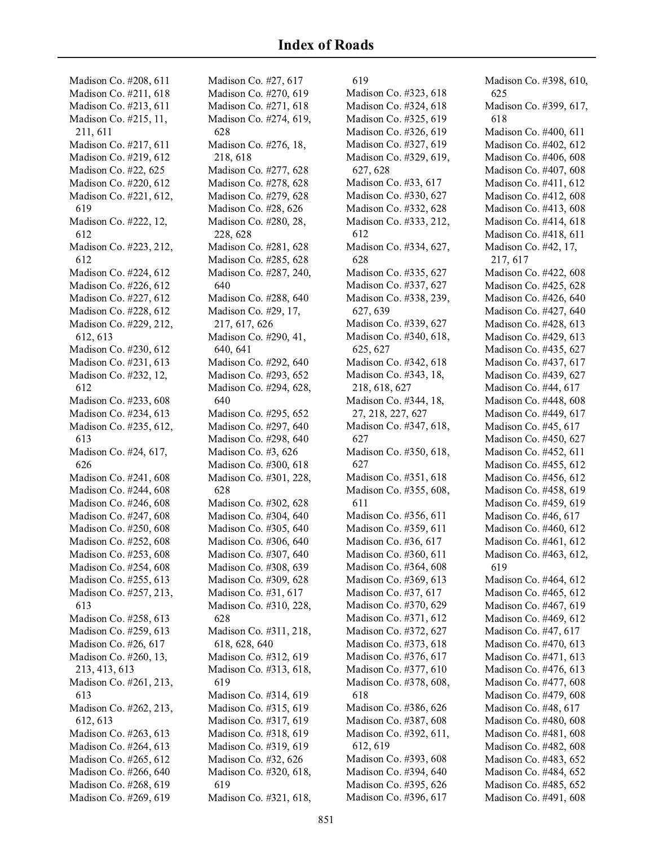Madison Co. #208, 611 Madison Co. #211, 618 Madison Co. #213, 611 Madison Co. #215, 11, 211, 611 Madison Co. #217, 611 Madison Co. #219, 612 Madison Co. #22, 625 Madison Co. #220, 612 Madison Co. #221, 612, 619 Madison Co. #222, 12, 612 Madison Co. #223, 212, 612 Madison Co. #224, 612 Madison Co. #226, 612 Madison Co. #227, 612 Madison Co. #228, 612 Madison Co. #229, 212, 612, 613 Madison Co. #230, 612 Madison Co. #231, 613 Madison Co. #232, 12, 612 Madison Co. #233, 608 Madison Co. #234, 613 Madison Co. #235, 612, 613 Madison Co. #24, 617, 626 Madison Co. #241, 608 Madison Co. #244, 608 Madison Co. #246, 608 Madison Co. #247, 608 Madison Co. #250, 608 Madison Co. #252, 608 Madison Co. #253, 608 Madison Co. #254, 608 Madison Co. #255, 613 Madison Co. #257, 213, 613 Madison Co. #258, 613 Madison Co. #259, 613 Madison Co. #26, 617 Madison Co. #260, 13, 213, 413, 613 Madison Co. #261, 213, 613 Madison Co. #262, 213, 612, 613 Madison Co. #263, 613 Madison Co. #264, 613 Madison Co. #265, 612 Madison Co. #266, 640 Madison Co. #268, 619 Madison Co. #269, 619

Madison Co. #27, 617 Madison Co. #270, 619 Madison Co. #271, 618 Madison Co. #274, 619, 628 Madison Co. #276, 18, 218,618 Madison Co. #277, 628 Madison Co. #278, 628 Madison Co. #279, 628 Madison Co. #28, 626 Madison Co. #280, 28, 228, 628 Madison Co. #281, 628 Madison Co. #285, 628 Madison Co. #287, 240, 640 Madison Co. #288, 640 Madison Co. #29, 17, 217, 617, 626 Madison Co. #290, 41, 640.641 Madison Co. #292, 640 Madison Co. #293, 652 Madison Co. #294, 628, 640 Madison Co. #295, 652 Madison Co. #297, 640 Madison Co. #298, 640 Madison Co. #3, 626 Madison Co. #300, 618 Madison Co. #301, 228, 628 Madison Co. #302, 628 Madison Co. #304, 640 Madison Co. #305, 640 Madison Co. #306, 640 Madison Co. #307, 640 Madison Co. #308, 639 Madison Co. #309, 628 Madison Co. #31, 617 Madison Co. #310, 228, 628 Madison Co. #311, 218, 618, 628, 640 Madison Co. #312, 619 Madison Co. #313, 618, 619 Madison Co. #314, 619 Madison Co. #315, 619 Madison Co. #317, 619 Madison Co. #318, 619 Madison Co. #319, 619 Madison Co. #32, 626 Madison Co. #320, 618, 619 Madison Co. #321, 618,

619 Madison Co. #323, 618 Madison Co. #324, 618 Madison Co. #325, 619 Madison Co. #326, 619 Madison Co. #327, 619 Madison Co. #329, 619, 627, 628 Madison Co. #33, 617 Madison Co. #330, 627 Madison Co. #332, 628 Madison Co. #333, 212, 612 Madison Co. #334, 627, 628 Madison Co. #335, 627 Madison Co. #337, 627 Madison Co. #338, 239, 627, 639 Madison Co. #339, 627 Madison Co. #340, 618, 625, 627 Madison Co. #342, 618 Madison Co. #343, 18, 218, 618, 627 Madison Co. #344, 18, 27, 218, 227, 627 Madison Co. #347, 618, 627 Madison Co. #350, 618, 627 Madison Co. #351, 618 Madison Co. #355, 608, 611 Madison Co. #356, 611 Madison Co. #359, 611 Madison Co. #36, 617 Madison Co. #360, 611 Madison Co. #364, 608 Madison Co. #369, 613 Madison Co. #37, 617 Madison Co. #370, 629 Madison Co. #371, 612 Madison Co. #372, 627 Madison Co. #373, 618 Madison Co. #376, 617 Madison Co. #377, 610 Madison Co. #378, 608, 618 Madison Co. #386, 626 Madison Co. #387, 608 Madison Co. #392, 611, 612, 619 Madison Co. #393, 608 Madison Co. #394, 640 Madison Co. #395, 626 Madison Co. #396, 617

Madison Co. #398, 610, 625 Madison Co. #399, 617, 618 Madison Co. #400, 611 Madison Co. #402, 612 Madison Co. #406, 608 Madison Co. #407, 608 Madison Co. #411, 612 Madison Co. #412, 608 Madison Co. #413, 608 Madison Co. #414, 618 Madison Co. #418, 611 Madison Co. #42, 17, 217, 617 Madison Co. #422, 608 Madison Co. #425, 628 Madison Co. #426, 640 Madison Co. #427, 640 Madison Co. #428, 613 Madison Co. #429, 613 Madison Co. #435, 627 Madison Co. #437, 617 Madison Co. #439, 627 Madison Co. #44, 617 Madison Co. #448, 608 Madison Co. #449, 617 Madison Co. #45, 617 Madison Co. #450, 627 Madison Co. #452, 611 Madison Co. #455, 612 Madison Co. #456, 612 Madison Co. #458, 619 Madison Co. #459, 619 Madison Co. #46, 617 Madison Co. #460, 612 Madison Co. #461, 612 Madison Co. #463, 612, 619 Madison Co. #464, 612 Madison Co. #465, 612 Madison Co. #467, 619 Madison Co. #469, 612 Madison Co. #47, 617 Madison Co. #470, 613 Madison Co. #471, 613 Madison Co. #476, 613 Madison Co. #477, 608 Madison Co. #479, 608 Madison Co. #48, 617 Madison Co. #480, 608 Madison Co. #481, 608 Madison Co. #482, 608 Madison Co. #483, 652 Madison Co. #484, 652 Madison Co. #485, 652 Madison Co. #491, 608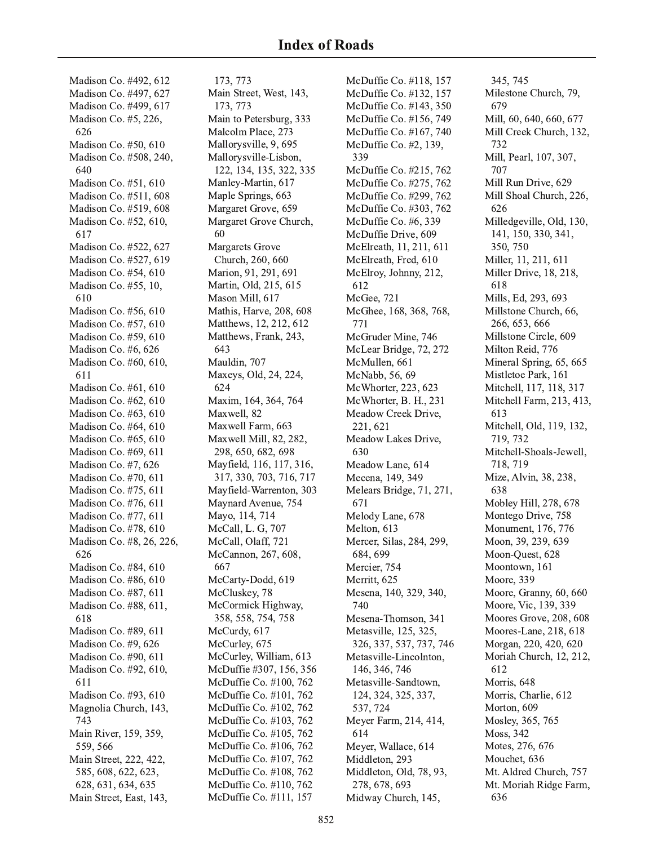Madison Co. #492, 612 Madison Co. #497, 627 Madison Co. #499, 617 Madison Co. #5, 226, 626 Madison Co. #50, 610 Madison Co. #508, 240, 640 Madison Co. #51, 610 Madison Co. #511, 608 Madison Co. #519, 608 Madison Co. #52, 610, 617 Madison Co. #522, 627 Madison Co. #527, 619 Madison Co. #54, 610 Madison Co. #55, 10, 610 Madison Co. #56, 610 Madison Co. #57, 610 Madison Co. #59, 610 Madison Co. #6, 626 Madison Co. #60, 610, 611 Madison Co. #61, 610 Madison Co. #62, 610 Madison Co. #63, 610 Madison Co. #64, 610 Madison Co. #65, 610 Madison Co. #69, 611 Madison Co. #7, 626 Madison Co. #70, 611 Madison Co. #75, 611 Madison Co. #76, 611 Madison Co. #77, 611 Madison Co. #78, 610 Madison Co. #8, 26, 226, 626 Madison Co. #84, 610 Madison Co. #86, 610 Madison Co. #87, 611 Madison Co. #88, 611, 618 Madison Co. #89, 611 Madison Co. #9, 626 Madison Co. #90, 611 Madison Co. #92, 610, 611 Madison Co. #93, 610 Magnolia Church, 143, 743 Main River, 159, 359, 559, 566 Main Street, 222, 422 , 585, 608, 622, 623, 628, 631, 634, 635 Main Street, East, 143,

173, 773 Main Street, West, 143, 173, 773 Main to Petersburg, 333 Malcolm Place, 273 Mallorysville, 9, 695 Mallorysville-Lisbon, 122, 134, 135, 322, 335 Manley-Martin, 617 Maple Springs, 663 Margaret Grove, 659 Margaret Grove Church, 60 Margarets Grove Church, 260, 660 Marion, 91, 291, 691 Martin, Old, 215, 615 Mason Mill, 617 Mathis, Harve, 208, 608 Matthews, 12, 212, 612 Matthews, Frank, 243, 643 Mauldin, 707 Maxeys, Old, 24, 224, 624 Maxim, 164, 364, 764 Maxwell, 82 Maxwell Farm, 663 Maxwell Mill, 82, 282 , 298, 650, 682, 698 Mayfield, 116, 117, 316, 317, 330, 703, 716, 717 Mayfield-Warrenton, 303 Maynard Avenue, 754 Mayo, 114, 714 McCall, L. G, 707 McCall, Olaff, 721 McCannon, 267, 608, 667 McCarty-Dodd, 619 McCluskey, 78 McCormick Highway, 358, 558, 754, 758 McCurdy, 617 McCurley, 675 McCurley, William, 613 McDuffie #307, 156, 356 McDuffie Co. #100, 762 McDuffie Co. #101, 762 McDuffie Co. #102, 762 McDuffie Co. #103, 762 McDuffie Co. #105, 762 McDuffie Co. #106, 762 McDuffie Co. #107, 762 McDuffie Co. #108, 762 McDuffie Co. #110, 762 McDuffie Co. #111, 157

McDuffie Co. #118, 157 McDuffie Co. #132, 157 McDuffie Co. #143, 350 McDuffie Co. #156, 749 McDuffie Co. #167, 740 McDuffie Co. #2, 139, 339 McDuffie Co. #215, 762 McDuffie Co. #275, 762 McDuffie Co. #299, 762 McDuffie Co. #303, 762 McDuffie Co. #6, 339 McDuffie Drive, 609 McElreath, 11, 211, 611 McElreath, Fred, 610 McElroy, Johnny, 212 , 612 McGee, 721 McGhee, 168, 368, 768, 771 McGruder Mine, 746 McLear Bridge, 72, 272 McMullen, 661 McNabb, 56, 69 McWhorter, 223, 623 McWhorter, B. H., 231 Meadow Creek Drive, 221, 621 Meadow Lakes Drive, 630 Meadow Lane, 614 Mecena, 149, 349 Melears Bridge, 71, 271, 671 Melody Lane, 678 Melton, 613 Mercer, Silas, 284, 299, 684, 699 Mercier, 754 Merritt, 625 Mesena, 140, 329, 340, 740 Mesena-Thomson, 341 Metasville, 125, 325, 326, 337, 537, 737, 746 Metasville-Lincolnton, 146, 346, 746 Metasville-Sandtown, 124, 324, 325, 337, 537, 724 Meyer Farm, 214, 414, 614 Meyer, Wallace, 614 Middleton, 293 Middleton, Old, 78, 93, 278, 678, 693 Midway Church, 145,

345, 745 Milestone Church, 79, 679 Mill, 60, 640, 660, 677 Mill Creek Church, 132, , 732 Mill, Pearl, 107, 307, 707 11 Mill Run Drive, 629 Mill Shoal Church, 226, 626 Milledgeville, Old, 130, 141, 150, 330, 341, 350, 750 Miller, 11, 211, 611 Miller Drive, 18, 218, 618 Mills, Ed, 293, 693 Millstone Church, 66, 266, 653, 666 Millstone Circle, 609 Milton Reid, 776 Mineral Spring, 65, 665 Mistletoe Park, 161 Mitchell, 117, 118, 317 Mitchell Farm, 213, 413, 613 Mitchell, Old, 119, 132, , 719, 732 Mitchell-Shoals-Jewell, 718, 719 Mize, Alvin, 38, 238, 638 Mobley Hill, 278, 678 Montego Drive, 758 Monument, 176, 776 Moon, 39, 239, 639 Moon-Quest, 628 Moontown, 161 Moore, 339 Moore, Granny, 60, 660 Moore, Vic, 139, 339 Moores Grove, 208, 608 Moores-Lane, 218, 618 Morgan, 220, 420, 620 Moriah Church, 12, 212 , 612 Morris, 648 Morris, Charlie, 612 Morton, 609 Mosley, 365, 765 Moss, 342 Motes, 276, 676 Mouchet, 636 Mt. Aldred Church, 757 Mt. Moriah Ridge Farm, 636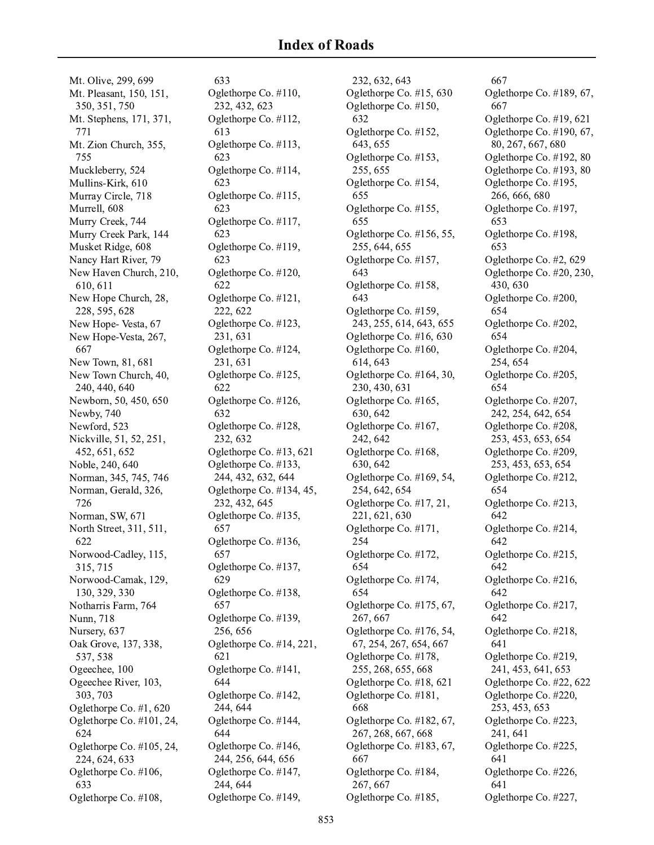Mt. Olive, 299, 699 Mt. Pleasant, 150, 151, 350, 351, 750 Mt. Stephens, 171, 371, 771 Mt. Zion Church, 355, 755 Muckleberry, 524 Mullins-Kirk, 610 Murray Circle, 718 Murrell, 608 Murry Creek, 744 Murry Creek Park, 144 Musket Ridge, 608 Nancy Hart River, 79 New Haven Church, 210, 610, 611 New Hope Church, 28, 228, 595, 628 New Hope-Vesta, 67 New Hope-Vesta, 267, 667 New Town, 81, 681 New Town Church, 40, 240, 440, 640 Newborn, 50, 450, 650 Newby, 740 Newford, 523 Nickville, 51, 52, 251, 452, 651, 652 Noble, 240, 640 Norman, 345, 745, 746 Norman, Gerald, 326, 726 Norman, SW, 671 North Street, 311, 511, 622 Norwood-Cadley, 115, 315, 715 Norwood-Camak, 129, 130, 329, 330 Notharris Farm, 764 Nunn, 718 Nursery, 637 Oak Grove, 137, 338, 537, 538 Ogeechee, 100 Ogeechee River, 103, 303, 703 Oglethorpe Co. #1, 620 Oglethorpe Co. #101, 24, 624 Oglethorpe Co. #105, 24, 224, 624, 633 Oglethorpe Co. #106, 633 Oglethorpe Co. #108,

633 Oglethorpe Co. #110, 232, 432, 623 Oglethorpe Co. #112, 613 Oglethorpe Co. #113, 623 Oglethorpe Co. #114, 623 Oglethorpe Co. #115, 623 Oglethorpe Co. #117, 623 Oglethorpe Co. #119, 623 Oglethorpe Co. #120, 622 Oglethorpe Co. #121, 222, 622 Oglethorpe Co. #123, 231, 631 Oglethorpe Co. #124, 231, 631 Oglethorpe Co. #125, 622 Oglethorpe Co. #126, 632 Oglethorpe Co. #128, 232, 632 Oglethorpe Co. #13, 621 Oglethorpe Co. #133, 244, 432, 632, 644 Oglethorpe Co. #134, 45, 232, 432, 645 Oglethorpe Co. #135, 657 Oglethorpe Co. #136, 657 Oglethorpe Co. #137, 629 Oglethorpe Co. #138, 657 Oglethorpe Co. #139, 256, 656 Oglethorpe Co. #14, 221, 621 Oglethorpe Co. #141, 644 Oglethorpe Co. #142, 244, 644 Oglethorpe Co. #144, 644 Oglethorpe Co. #146, 244, 256, 644, 656 Oglethorpe Co. #147, 244, 644 Oglethorpe Co. #149,

232, 632, 643 Oglethorpe Co. #15, 630 Oglethorpe Co. #150, 632 Oglethorpe Co. #152, 643, 655 Oglethorpe Co. #153, 255, 655 Oglethorpe Co. #154, 655 Oglethorpe Co. #155, 655 Oglethorpe Co. #156, 55, 255, 644, 655 Oglethorpe Co. #157, 643 Oglethorpe Co. #158, 643 Oglethorpe Co. #159, 243, 255, 614, 643, 655 Oglethorpe Co. #16, 630 Oglethorpe Co. #160, 614, 643 Oglethorpe Co. #164, 30, 230, 430, 631 Oglethorpe Co. #165, 630, 642 Oglethorpe Co. #167, 242, 642 Oglethorpe Co. #168, 630, 642 Oglethorpe Co. #169, 54, 254, 642, 654 Oglethorpe Co. #17, 21, 221, 621, 630 Oglethorpe Co. #171, 254 Oglethorpe Co. #172, 654 Oglethorpe Co. #174, 654 Oglethorpe Co. #175, 67, 267, 667 Oglethorpe Co. #176, 54, 67, 254, 267, 654, 667 Oglethorpe Co. #178, 255, 268, 655, 668 Oglethorpe Co. #18, 621 Oglethorpe Co. #181, 668 Oglethorpe Co. #182, 67, 267, 268, 667, 668 Oglethorpe Co. #183, 67, 667 Oglethorpe Co. #184, 267, 667 Oglethorpe Co. #185,

667 Oglethorpe Co. #189, 67, 667 Oglethorpe Co. #19, 621 Oglethorpe Co. #190, 67, 80, 267, 667, 680 Oglethorpe Co. #192, 80 Oglethorpe Co. #193, 80 Oglethorpe Co. #195, 266, 666, 680 Oglethorpe Co. #197, 653 Oglethorpe Co. #198, 653 Oglethorpe Co. #2, 629 Oglethorpe Co. #20, 230, 430.630 Oglethorpe Co. #200, 654 Oglethorpe Co. #202, 654 Oglethorpe Co. #204, 254, 654 Oglethorpe Co. #205, 654 Oglethorpe Co. #207, 242, 254, 642, 654 Oglethorpe Co. #208, 253, 453, 653, 654 Oglethorpe Co. #209, 253, 453, 653, 654 Oglethorpe Co. #212, 654 Oglethorpe Co. #213, 642 Oglethorpe Co. #214, 642 Oglethorpe Co. #215, 642 Oglethorpe Co. #216, 642 Oglethorpe Co. #217, 642 Oglethorpe Co. #218, 641 Oglethorpe Co. #219, 241, 453, 641, 653 Oglethorpe Co. #22, 622 Oglethorpe Co. #220, 253, 453, 653 Oglethorpe Co. #223, 241, 641 Oglethorpe Co. #225, 641 Oglethorpe Co. #226, 641 Oglethorpe Co. #227,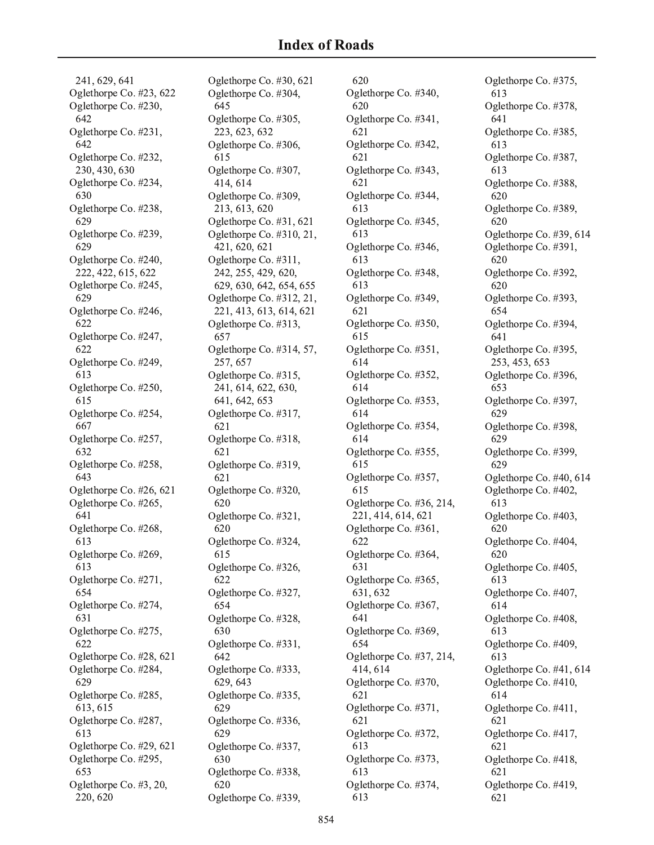241, 629, 641 Oglethorpe Co. #23, 622 Oglethorpe Co. #230, 642 Oglethorpe Co. #231, 642 Oglethorpe Co. #232, 230, 430, 630 Oglethorpe Co. #234, 630 Oglethorpe Co. #238, 629 Oglethorpe Co. #239, 629 Oglethorpe Co. #240, 222, 422, 615, 622 Oglethorpe Co. #245, 629 Oglethorpe Co. #246, 622 Oglethorpe Co. #247, 622 Oglethorpe Co. #249, 613 Oglethorpe Co. #250, 615 Oglethorpe Co. #254, 667 Oglethorpe Co. #257, 632 Oglethorpe Co. #258, 643 Oglethorpe Co. #26, 621 Oglethorpe Co. #265, 641 Oglethorpe Co. #268, 613 Oglethorpe Co. #269, 613 Oglethorpe Co. #271, 654 Oglethorpe Co. #274, 631 Oglethorpe Co. #275, 622 Oglethorpe Co. #28, 621 Oglethorpe Co. #284, 629 Oglethorpe Co. #285, 613, 615 Oglethorpe Co. #287, 613 Oglethorpe Co. #29, 621 Oglethorpe Co. #295, 653 Oglethorpe Co. #3, 20, 220, 620

Oglethorpe Co. #30, 621 Oglethorpe Co. #304, 645 Oglethorpe Co. #305, 223, 623, 632 Oglethorpe Co. #306, 615 Oglethorpe Co. #307, 414, 614 Oglethorpe Co. #309, 213, 613, 620 Oglethorpe Co. #31, 621 Oglethorpe Co. #310, 21, 421, 620, 621 Oglethorpe Co. #311, 242, 255, 429, 620, 629, 630, 642, 654, 655 Oglethorpe Co. #312, 21, 221, 413, 613, 614, 621 Oglethorpe Co. #313, 657 Oglethorpe Co. #314, 57, 257, 657 Oglethorpe Co. #315, 241, 614, 622, 630, 641, 642, 653 Oglethorpe Co. #317, 621 Oglethorpe Co. #318, 621 Oglethorpe Co. #319, 621 Oglethorpe Co. #320, 620 Oglethorpe Co. #321, 620 Oglethorpe Co. #324, 615 Oglethorpe Co. #326, 622 Oglethorpe Co. #327, 654 Oglethorpe Co. #328, 630 Oglethorpe Co. #331, 642 Oglethorpe Co. #333, 629, 643 Oglethorpe Co. #335, 629 Oglethorpe Co. #336, 629 Oglethorpe Co. #337, 630 Oglethorpe Co. #338, 620 Oglethorpe Co. #339,

620 Oglethorpe Co. #340, 620 Oglethorpe Co. #341, 621 Oglethorpe Co. #342, 621 Oglethorpe Co. #343, 621 Oglethorpe Co. #344, 613 Oglethorpe Co. #345, 613 Oglethorpe Co. #346, 613 Oglethorpe Co. #348, 613 Oglethorpe Co. #349, 621 Oglethorpe Co. #350, 615 Oglethorpe Co. #351, 614 Oglethorpe Co. #352, 614 Oglethorpe Co. #353, 614 Oglethorpe Co. #354, 614 Oglethorpe Co. #355, 615 Oglethorpe Co. #357, 615 Oglethorpe Co. #36, 214, 221, 414, 614, 621 Oglethorpe Co. #361, 622 Oglethorpe Co. #364, 631 Oglethorpe Co. #365, 631, 632 Oglethorpe Co. #367, 641 Oglethorpe Co. #369, 654 Oglethorpe Co. #37, 214, 414, 614 Oglethorpe Co. #370, 621 Oglethorpe Co. #371, 621 Oglethorpe Co. #372, 613 Oglethorpe Co. #373, 613 Oglethorpe Co. #374, 613

Oglethorpe Co. #375, 613 Oglethorpe Co. #378, 641 Oglethorpe Co. #385, 613 Oglethorpe Co. #387, 613 Oglethorpe Co. #388, 620 Oglethorpe Co. #389, 620 Oglethorpe Co. #39, 614 Oglethorpe Co. #391, 620 Oglethorpe Co. #392, 620 Oglethorpe Co. #393, 654 Oglethorpe Co. #394, 641 Oglethorpe Co. #395, 253, 453, 653 Oglethorpe Co. #396, 653 Oglethorpe Co. #397, 629 Oglethorpe Co. #398, 629 Oglethorpe Co. #399, 629 Oglethorpe Co. #40, 614 Oglethorpe Co. #402, 613 Oglethorpe Co. #403, 620 Oglethorpe Co. #404, 620 Oglethorpe Co. #405, 613 Oglethorpe Co. #407, 614 Oglethorpe Co. #408, 613 Oglethorpe Co. #409, 613 Oglethorpe Co. #41, 614 Oglethorpe Co. #410, 614 Oglethorpe Co. #411, 621 Oglethorpe Co. #417, 621 Oglethorpe Co. #418, 621 Oglethorpe Co. #419, 621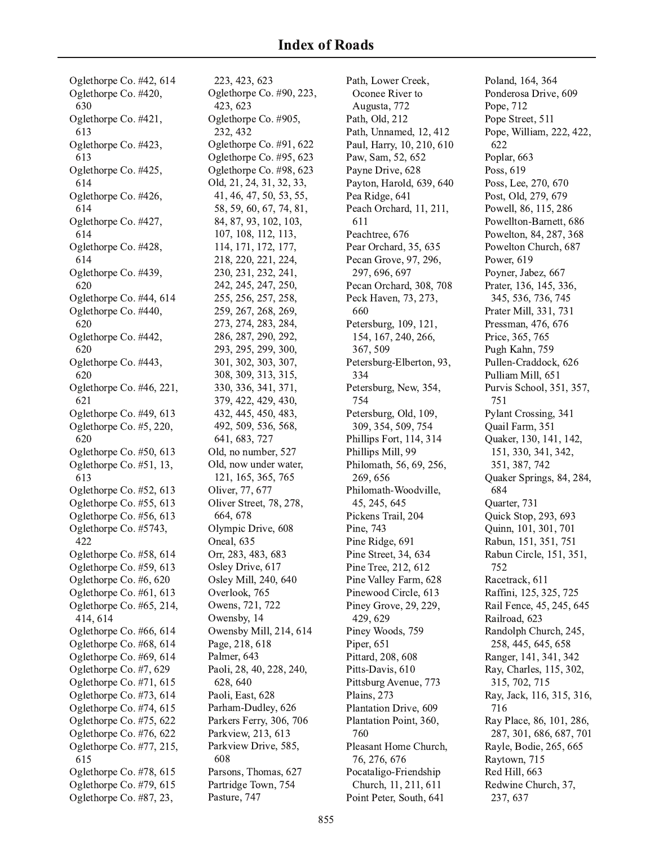Oglethorpe Co. #42, 614 Oglethorpe Co. #420, 630 Oglethorpe Co. #421, 613 Oglethorpe Co. #423, 613 Oglethorpe Co. #425, 614 Oglethorpe Co. #426, 614 Oglethorpe Co. #427, 614 Oglethorpe Co. #428, 614 Oglethorpe Co. #439, 620 Oglethorpe Co. #44, 614 Oglethorpe Co. #440, 620 Oglethorpe Co. #442, 620 Oglethorpe Co. #443, 620 Oglethorpe Co. #46, 221, 621 Oglethorpe Co. #49, 613 Oglethorpe Co. #5, 220, 620 Oglethorpe Co. #50, 613 Oglethorpe Co. #51, 13, 613 Oglethorpe Co. #52, 613 Oglethorpe Co. #55, 613 Oglethorpe Co. #56, 613 Oglethorpe Co. #5743, 422 Oglethorpe Co. #58, 614 Oglethorpe Co. #59, 613 Oglethorpe Co. #6, 620 Oglethorpe Co. #61, 613 Oglethorpe Co. #65, 214, 414, 614 Oglethorpe Co. #66, 614 Oglethorpe Co. #68, 614 Oglethorpe Co. #69, 614 Oglethorpe Co. #7, 629 Oglethorpe Co. #71, 615 Oglethorpe Co. #73, 614 Oglethorpe Co. #74, 615 Oglethorpe Co. #75, 622 Oglethorpe Co. #76, 622 Oglethorpe Co. #77, 215, 615 Oglethorpe Co. #78, 615 Oglethorpe Co. #79, 615 Oglethorpe Co. #87, 23,

223, 423, 623 Oglethorpe Co. #90, 223, 423, 623 Oglethorpe Co. #905, 232.432 Oglethorpe Co. #91, 622 Oglethorpe Co. #95, 623 Oglethorpe Co. #98, 623 Old, 21, 24, 31, 32, 33, 41, 46, 47, 50, 53, 55, 58, 59, 60, 67, 74, 81, 84, 87, 93, 102, 103, 107, 108, 112, 113, 114, 171, 172, 177, 218, 220, 221, 224, 230, 231, 232, 241, 242, 245, 247, 250, 255, 256, 257, 258, 259, 267, 268, 269, 273, 274, 283, 284, 286, 287, 290, 292, 293, 295, 299, 300, 301, 302, 303, 307, 308, 309, 313, 315, 330, 336, 341, 371, 379, 422, 429, 430, 432, 445, 450, 483, 492, 509, 536, 568, 641, 683, 727 Old, no number, 527 Old, now under water, 121, 165, 365, 765 Oliver, 77, 677 Oliver Street, 78, 278, 664, 678 Olympic Drive, 608 Oneal, 635 Orr, 283, 483, 683 Osley Drive, 617 Osley Mill, 240, 640 Overlook, 765 Owens, 721, 722 Owensby, 14 Owensby Mill, 214, 614 Page, 218, 618 Palmer, 643 Paoli, 28, 40, 228, 240, 628, 640 Paoli, East, 628 Parham-Dudley, 626 Parkers Ferry, 306, 706 Parkview, 213, 613 Parkview Drive, 585, 608 Parsons, Thomas, 627 Partridge Town, 754 Pasture, 747

Path, Lower Creek, Oconee River to Augusta, 772 Path, Old, 212 Path, Unnamed, 12, 412 Paul, Harry, 10, 210, 610 Paw, Sam, 52, 652 Payne Drive, 628 Payton, Harold, 639, 640 Pea Ridge, 641 Peach Orchard, 11, 211, 611 Peachtree, 676 Pear Orchard, 35, 635 Pecan Grove, 97, 296, 297, 696, 697 Pecan Orchard, 308, 708 Peck Haven, 73, 273, 660 Petersburg, 109, 121, 154, 167, 240, 266, 367, 509 Petersburg-Elberton, 93, 334 Petersburg, New, 354, 754 Petersburg, Old, 109, 309, 354, 509, 754 Phillips Fort, 114, 314 Phillips Mill, 99 Philomath, 56, 69, 256, 269,656 Philomath-Woodville, 45, 245, 645 Pickens Trail, 204 Pine, 743 Pine Ridge, 691 Pine Street, 34, 634 Pine Tree, 212, 612 Pine Valley Farm, 628 Pinewood Circle, 613 Piney Grove, 29, 229, 429, 629 Piney Woods, 759 Piper, 651 Pittard, 208, 608 Pitts-Davis, 610 Pittsburg Avenue, 773 Plains, 273 Plantation Drive, 609 Plantation Point, 360, 760 Pleasant Home Church, 76, 276, 676 Pocataligo-Friendship Church, 11, 211, 611 Point Peter, South, 641

Poland, 164, 364 Ponderosa Drive, 609 Pope, 712 Pope Street, 511 Pope, William, 222, 422, 622 Poplar, 663 Poss, 619 Poss, Lee, 270, 670 Post, Old, 279, 679 Powell, 86, 115, 286 Powellton-Barnett, 686 Powelton, 84, 287, 368 Powelton Church, 687 Power, 619 Poyner, Jabez, 667 Prater, 136, 145, 336, 345, 536, 736, 745 Prater Mill, 331, 731 Pressman, 476, 676 Price, 365, 765 Pugh Kahn, 759 Pullen-Craddock, 626 Pulliam Mill, 651 Purvis School, 351, 357, 751 Pylant Crossing, 341 Quail Farm, 351 Ouaker, 130, 141, 142, 151, 330, 341, 342, 351, 387, 742 Quaker Springs, 84, 284, 684 Quarter, 731 Quick Stop, 293, 693 Quinn, 101, 301, 701 Rabun, 151, 351, 751 Rabun Circle, 151, 351, 752 Racetrack, 611 Raffini, 125, 325, 725 Rail Fence, 45, 245, 645 Railroad, 623 Randolph Church, 245, 258, 445, 645, 658 Ranger, 141, 341, 342 Ray, Charles, 115, 302, 315, 702, 715 Ray, Jack, 116, 315, 316, 716 Ray Place, 86, 101, 286, 287, 301, 686, 687, 701 Rayle, Bodie, 265, 665 Raytown, 715 Red Hill, 663 Redwine Church, 37, 237, 637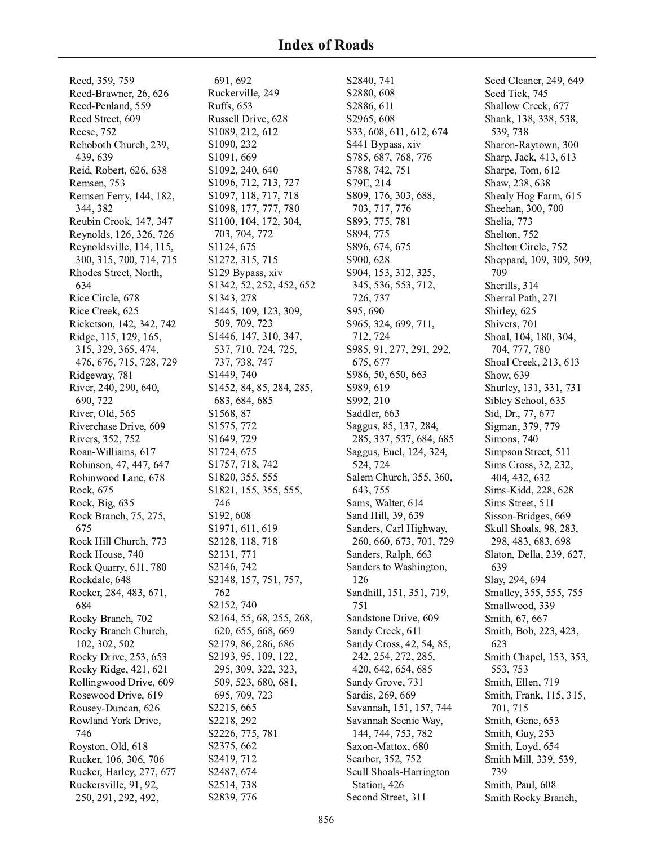Reed, 359, 759 Reed-Brawner, 26, 626 Reed-Penland, 559 Reed Street, 609 Reese, 752 Rehoboth Church, 239, 439, 639 Reid, Robert, 626, 638 Remsen, 753 Remsen Ferry, 144, 182, 344, 382 Reubin Crook, 147, 347 Reynolds, 126, 326, 726 Reynoldsville, 114, 115, 300, 315, 700, 714, 715 Rhodes Street, North, 634 Rice Circle, 678 Rice Creek, 625 Ricketson, 142, 342, 742 Ridge, 115, 129, 165, 315, 329, 365, 474, 476, 676, 715, 728, 729 Ridgeway, 781 River, 240, 290, 640, 690, 722 River, Old, 565 Riverchase Drive, 609 Rivers, 352, 752 Roan-Williams, 617 Robinson, 47, 447, 647 Robinwood Lane, 678 Rock, 675 Rock, Big, 635 Rock Branch, 75, 275, 675 Rock Hill Church, 773 Rock House, 740 Rock Quarry, 611, 780 Rockdale, 648 Rocker, 284, 483, 671, 684 Rocky Branch, 702 Rocky Branch Church, 102, 302, 502 Rocky Drive, 253, 653 Rocky Ridge, 421, 621 Rollingwood Drive, 609 Rosewood Drive, 619 Rousey-Duncan, 626 Rowland York Drive, 746 Royston, Old, 618 Rucker, 106, 306, 706 Rucker, Harley, 277, 677 Ruckersville, 91, 92, 250, 291, 292, 492,

691, 692 Ruckerville, 249 Ruffs, 653 Russell Drive, 628 S1089, 212, 612 S1090, 232 S1091, 669 S1092, 240, 640 S1096, 712, 713, 727 S1097, 118, 717, 718 S1098, 177, 777, 780 S1100, 104, 172, 304, 703, 704, 772 S1124, 675 S1272, 315, 715 S129 Bypass, xiv S1342, 52, 252, 452, 652 S1343, 278 S1445, 109, 123, 309, 509, 709, 723 S1446, 147, 310, 347, 537, 710, 724, 725, 737, 738, 747 S1449, 740 S1452, 84, 85, 284, 285, 683, 684, 685 S1568, 87 S1575, 772 S1649, 729 S1724, 675 S1757, 718, 742 S1820, 355, 555 S1821, 155, 355, 555, 746 S192, 608 S1971, 611, 619 S2128, 118, 718 S2131, 771 S2146, 742 S2148, 157, 751, 757, 762 S2152, 740 S2164, 55, 68, 255, 268, 620, 655, 668, 669 S2179, 86, 286, 686 S2193, 95, 109, 122, 295, 309, 322, 323, 509, 523, 680, 681, 695, 709, 723 S2215, 665 S2218, 292 S2226, 775, 781 S2375, 662 S2419, 712 S2487, 674 S2514, 738 S2839, 776

S2840, 741 S2880, 608 S2886, 611 S2965, 608 S33, 608, 611, 612, 674 S441 Bypass, xiv S785, 687, 768, 776 S788, 742, 751 S79E, 214 S809, 176, 303, 688, 703, 717, 776 S893, 775, 781 S894, 775 S896, 674, 675 S900, 628 S904, 153, 312, 325, 345, 536, 553, 712, 726, 737 S95,690 S965, 324, 699, 711, 712, 724 S985, 91, 277, 291, 292, 675, 677 S986, 50, 650, 663 S989, 619 S992, 210 Saddler, 663 Saggus, 85, 137, 284, 285, 337, 537, 684, 685 Saggus, Euel, 124, 324, 524, 724 Salem Church, 355, 360, 643, 755 Sams, Walter, 614 Sand Hill, 39, 639 Sanders, Carl Highway, 260, 660, 673, 701, 729 Sanders, Ralph, 663 Sanders to Washington, 126 Sandhill, 151, 351, 719, 751 Sandstone Drive, 609 Sandy Creek, 611 Sandy Cross, 42, 54, 85, 242, 254, 272, 285, 420, 642, 654, 685 Sandy Grove, 731 Sardis, 269, 669 Savannah, 151, 157, 744 Savannah Scenic Way, 144, 744, 753, 782 Saxon-Mattox, 680 Scarber, 352, 752 Scull Shoals-Harrington Station, 426 Second Street, 311

Seed Cleaner, 249, 649 Seed Tick, 745 Shallow Creek, 677 Shank, 138, 338, 538, 539, 738 Sharon-Raytown, 300 Sharp, Jack, 413, 613 Sharpe, Tom, 612 Shaw, 238, 638 Shealy Hog Farm, 615 Sheehan, 300, 700 Shelia, 773 Shelton, 752 Shelton Circle, 752 Sheppard, 109, 309, 509, 709 Sherills, 314 Sherral Path, 271 Shirley, 625 Shivers, 701 Shoal, 104, 180, 304, 704, 777, 780 Shoal Creek, 213, 613 Show, 639 Shurley, 131, 331, 731 Sibley School, 635 Sid, Dr., 77, 677 Sigman, 379, 779 Simons, 740 Simpson Street, 511 Sims Cross, 32, 232, 404, 432, 632 Sims-Kidd, 228, 628 Sims Street, 511 Sisson-Bridges, 669 Skull Shoals, 98, 283, 298, 483, 683, 698 Slaton, Della, 239, 627, 639 Slay, 294, 694 Smalley, 355, 555, 755 Smallwood, 339 Smith, 67, 667 Smith, Bob, 223, 423, 623 Smith Chapel, 153, 353, 553, 753 Smith, Ellen, 719 Smith, Frank, 115, 315, 701, 715 Smith, Gene, 653 Smith, Guy, 253 Smith, Loyd, 654 Smith Mill, 339, 539, 739 Smith, Paul, 608 Smith Rocky Branch,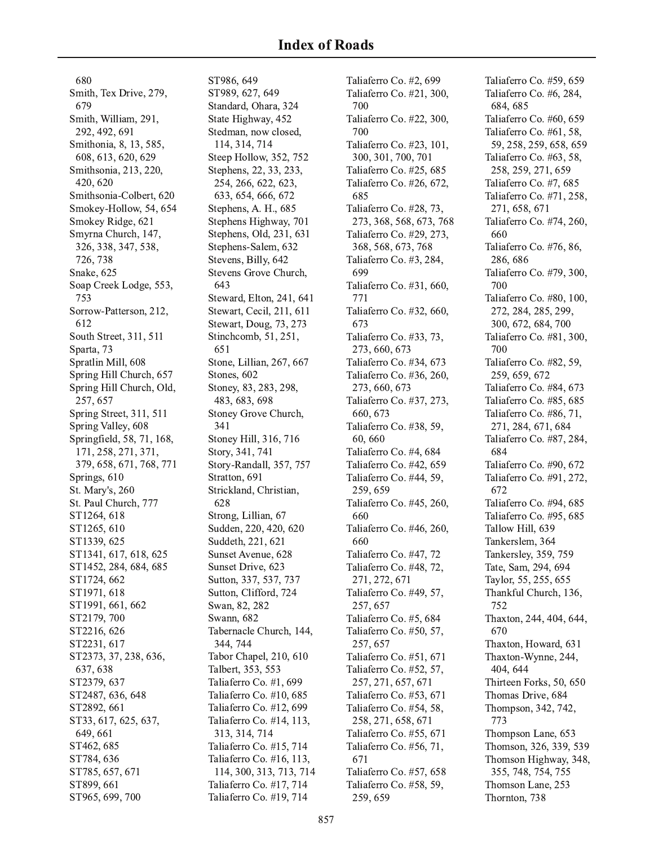680 Smith, Tex Drive, 279, 679 Smith, William, 291, 292, 492, 691 Smithonia, 8, 13, 585, 608, 613, 620, 629 Smithsonia, 213, 220, 420, 620 Smithsonia-Colbert, 620 Smokey-Hollow, 54, 654 Smokey Ridge, 621 Smyrna Church, 147, 326, 338, 347, 538, 726, 738 Snake, 625 Soap Creek Lodge, 553, 753 Sorrow-Patterson, 212, 612 South Street, 311, 511 Sparta, 73 Spratlin Mill, 608 Spring Hill Church, 657 Spring Hill Church, Old, 257, 657 Spring Street, 311, 511 Spring Valley, 608 Springfield, 58, 71, 168, 171, 258, 271, 371, 379, 658, 671, 768, 771 Springs, 610 St. Mary's, 260 St. Paul Church, 777 ST1264, 618 ST1265, 610 ST1339.625 ST1341, 617, 618, 625 ST1452, 284, 684, 685 ST1724, 662 ST1971, 618 ST1991, 661, 662 ST2179, 700 ST2216, 626 ST2231, 617 ST2373, 37, 238, 636, 637, 638 ST2379, 637 ST2487, 636, 648 ST2892, 661 ST33, 617, 625, 637, 649, 661 ST462, 685 ST784, 636 ST785, 657, 671 ST899, 661 ST965, 699, 700

ST986, 649 ST989, 627, 649 Standard, Ohara, 324 State Highway, 452 Stedman, now closed, 114, 314, 714 Steep Hollow, 352, 752 Stephens, 22, 33, 233, 254, 266, 622, 623, 633, 654, 666, 672 Stephens, A. H., 685 Stephens Highway, 701 Stephens, Old, 231, 631 Stephens-Salem, 632 Stevens, Billy, 642 Stevens Grove Church, 643 Steward, Elton, 241, 641 Stewart, Cecil, 211, 611 Stewart, Doug, 73, 273 Stinchcomb, 51, 251, 651 Stone, Lillian, 267, 667 Stones, 602 Stoney, 83, 283, 298, 483, 683, 698 Stoney Grove Church, 341 Stoney Hill, 316, 716 Story, 341, 741 Story-Randall, 357, 757 Stratton, 691 Strickland, Christian, 628 Strong, Lillian, 67 Sudden, 220, 420, 620 Suddeth, 221, 621 Sunset Avenue, 628 Sunset Drive, 623 Sutton, 337, 537, 737 Sutton, Clifford, 724 Swan, 82, 282 Swann, 682 Tabernacle Church, 144, 344, 744 Tabor Chapel, 210, 610 Talbert, 353, 553 Taliaferro Co. #1, 699 Taliaferro Co. #10, 685 Taliaferro Co. #12, 699 Taliaferro Co. #14, 113, 313, 314, 714 Taliaferro Co. #15, 714 Taliaferro Co. #16, 113, 114, 300, 313, 713, 714 Taliaferro Co. #17, 714 Taliaferro Co. #19, 714

Taliaferro Co. #2, 699 Taliaferro Co. #21, 300, 700 Taliaferro Co. #22, 300, 700 Taliaferro Co. #23, 101, 300, 301, 700, 701 Taliaferro Co. #25, 685 Taliaferro Co. #26, 672, 685 Taliaferro Co. #28, 73, 273, 368, 568, 673, 768 Taliaferro Co. #29, 273, 368, 568, 673, 768 Taliaferro Co. #3, 284, 699 Taliaferro Co. #31, 660, 771 Taliaferro Co. #32, 660, 673 Taliaferro Co. #33, 73, 273, 660, 673 Taliaferro Co. #34, 673 Taliaferro Co. #36, 260, 273, 660, 673 Taliaferro Co. #37, 273, 660, 673 Taliaferro Co. #38, 59, 60,660 Taliaferro Co. #4, 684 Taliaferro Co. #42, 659 Taliaferro Co. #44, 59, 259,659 Taliaferro Co. #45, 260, 660 Taliaferro Co. #46, 260, 660 Taliaferro Co. #47, 72 Taliaferro Co. #48, 72, 271, 272, 671 Taliaferro Co. #49, 57, 257, 657 Taliaferro Co. #5, 684 Taliaferro Co. #50, 57, 257, 657 Taliaferro Co. #51, 671 Taliaferro Co. #52, 57, 257, 271, 657, 671 Taliaferro Co. #53, 671 Taliaferro Co. #54, 58, 258, 271, 658, 671 Taliaferro Co. #55, 671 Taliaferro Co. #56, 71, 671 Taliaferro Co. #57, 658 Taliaferro Co. #58, 59, 259,659

Taliaferro Co. #59, 659 Taliaferro Co. #6, 284, 684, 685 Taliaferro Co. #60, 659 Taliaferro Co. #61, 58, 59, 258, 259, 658, 659 Taliaferro Co. #63, 58, 258, 259, 271, 659 Taliaferro Co. #7, 685 Taliaferro Co. #71, 258, 271, 658, 671 Taliaferro Co. #74, 260, 660 Taliaferro Co. #76, 86, 286,686 Taliaferro Co. #79, 300, 700 Taliaferro Co. #80, 100, 272, 284, 285, 299, 300, 672, 684, 700 Taliaferro Co. #81, 300, 700 Taliaferro Co. #82, 59, 259, 659, 672 Taliaferro Co. #84, 673 Taliaferro Co. #85, 685 Taliaferro Co. #86, 71, 271, 284, 671, 684 Taliaferro Co. #87, 284, 684 Taliaferro Co. #90, 672 Taliaferro Co. #91, 272, 672 Taliaferro Co. #94, 685 Taliaferro Co. #95, 685 Tallow Hill, 639 Tankerslem, 364 Tankersley, 359, 759 Tate, Sam, 294, 694 Taylor, 55, 255, 655 Thankful Church, 136, 752 Thaxton, 244, 404, 644, 670 Thaxton, Howard, 631 Thaxton-Wynne, 244, 404, 644 Thirteen Forks, 50, 650 Thomas Drive, 684 Thompson, 342, 742, 773 Thompson Lane, 653 Thomson, 326, 339, 539 Thomson Highway, 348, 355, 748, 754, 755 Thomson Lane, 253 Thornton, 738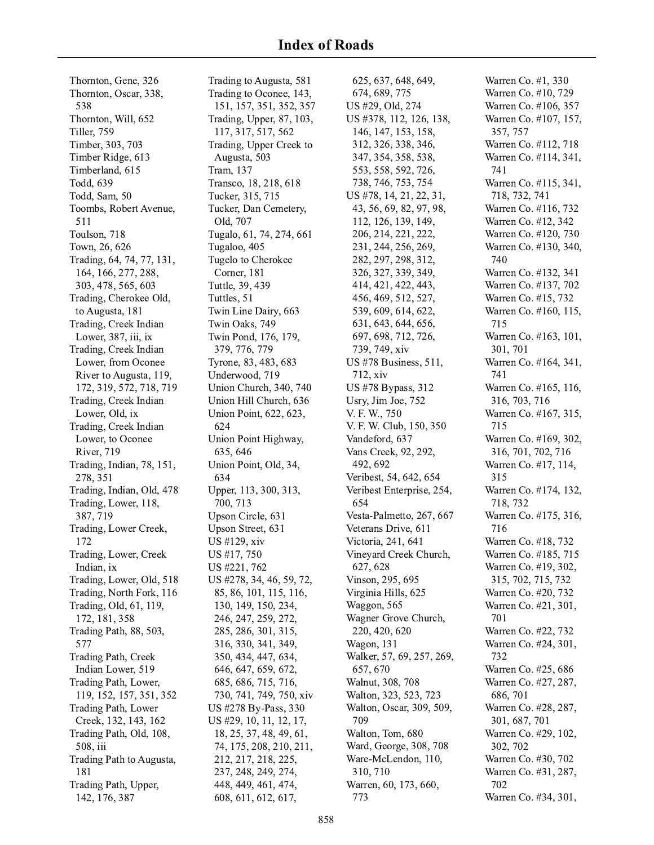Thornton, Gene, 326 Thornton, Oscar, 338, 538 Thornton, Will, 652 Tiller, 759 Timber, 303, 703 Timber Ridge, 613 Timberland, 615 Todd, 639 Todd, Sam, 50 Toombs, Robert Avenue, 511 Toulson, 718 Town, 26, 626 Trading, 64, 74, 77, 131, 164, 166, 277, 288, 303, 478, 565, 603 Trading, Cherokee Old, to Augusta, 181 Trading, Creek Indian Lower, 387, iii, ix Trading, Creek Indian Lower, from Oconee River to Augusta, 119, 172, 319, 572, 718, 719 Trading, Creek Indian Lower, Old, ix Trading, Creek Indian Lower, to Oconee River, 719 Trading, Indian, 78, 151, 278, 351 Trading, Indian, Old, 478 Trading, Lower, 118, 387, 719 Trading, Lower Creek, 172 Trading, Lower, Creek Indian, ix Trading, Lower, Old, 518 Trading, North Fork, 116 Trading, Old, 61, 119, 172, 181, 358 Trading Path, 88, 503, 577 Trading Path, Creek Indian Lower, 519 Trading Path, Lower, 119, 152, 157, 351, 352 Trading Path, Lower Creek, 132, 143, 162 Trading Path, Old, 108, 508, iii Trading Path to Augusta, 181 Trading Path, Upper,

142, 176, 387

Trading to Augusta, 581 Trading to Oconee, 143, 151, 157, 351, 352, 357 Trading, Upper, 87, 103, 117, 317, 517, 562 Trading, Upper Creek to Augusta, 503 Tram, 137 Transco, 18, 218, 618 Tucker, 315, 715 Tucker, Dan Cemetery, Old, 707 Tugalo, 61, 74, 274, 661 Tugaloo, 405 Tugelo to Cherokee Corner, 181 Tuttle, 39, 439 Tuttles, 51 Twin Line Dairy, 663 Twin Oaks, 749 Twin Pond, 176, 179, 379, 776, 779 Tyrone, 83, 483, 683 Underwood, 719 Union Church, 340, 740 Union Hill Church, 636 Union Point, 622, 623, 624 Union Point Highway, 635, 646 Union Point, Old, 34, 634 Upper, 113, 300, 313, 700, 713 Upson Circle, 631 Upson Street, 631 US #129, xiv US #17, 750 US #221, 762 US #278, 34, 46, 59, 72 , 85, 86, 101, 115, 116, 130, 149, 150, 234, 246, 247, 259, 272 , 285, 286, 301, 315, 316, 330, 341, 349, 350, 434, 447, 634, 646, 647, 659, 672, , 685, 686, 715, 716, 730, 741, 749, 750, xiv US #278 By-Pass, 330 US #29, 10, 11, 12, 17, 18, 25, 37, 48, 49, 61, 74, 175, 208, 210, 211, 212, 217, 218, 225, 237, 248, 249, 274, 448, 449, 461, 474, 608, 611, 612, 617,

625, 637, 648, 649, 674, 689, 775 US #29, Old, 274 US #378, 112, 126, 138, 146, 147, 153, 158, 312, 326, 338, 346, 347, 354, 358, 538, 553, 558, 592, 726, 738, 746, 753, 754 US #78, 14, 21, 22, 31, 43, 56, 69, 82, 97, 98, 112, 126, 139, 149, 206, 214, 221, 222 , 231, 244, 256, 269, 282, 297, 298, 312 , 326, 327, 339, 349, 414, 421, 422, 443, 456, 469, 512, 527, 539, 609, 614, 622 , 631, 643, 644, 656, 697, 698, 712, 726, 739, 749, xiv US #78 Business, 511, 712, xiv US #78 Bypass, 312 Usry, Jim Joe, 752 V. F. W., 750 V. F. W. Club, 150, 350 Vandeford, 637 Vans Creek, 92, 292 , 492, 692 Veribest, 54, 642, 654 Veribest Enterprise, 254, 654 Vesta-Palmetto, 267, 667 Veterans Drive, 611 Victoria, 241, 641 Vineyard Creek Church, 627, 628 Vinson, 295, 695 Virginia Hills, 625 Waggon, 565 Wagner Grove Church, 220, 420, 620 Wagon, 131 Walker, 57, 69, 257, 269, 657, 670 Walnut, 308, 708 Walton, 323, 523, 723 Walton, Oscar, 309, 509, 709 Walton, Tom, 680 Ward, George, 308, 708 Ware-McLendon, 110, 310, 710 Warren, 60, 173, 660, 773

Warren Co. #1, 330 Warren Co. #10, 729 Warren Co. #106, 357 Warren Co. #107, 157, 357, 757 Warren Co. #112, 718 Warren Co. #114, 341, 741 Warren Co. #115, 341, 718, 732, 741 Warren Co. #116, 732 Warren Co. #12, 342 Warren Co. #120, 730 Warren Co. #130, 340, 740 Warren Co. #132, 341 Warren Co. #137, 702 Warren Co. #15, 732 Warren Co. #160, 115, 715 Warren Co. #163, 101, 301.701 Warren Co. #164, 341, 741 Warren Co. #165, 116, 316, 703, 716 Warren Co. #167, 315, 715 Warren Co. #169, 302, , 316, 701, 702, 716 Warren Co. #17, 114, 315 Warren Co. #174, 132, , 718, 732 Warren Co. #175, 316, 716 Warren Co. #18, 732 Warren Co. #185, 715 Warren Co. #19, 302, , 315, 702, 715, 732 Warren Co. #20, 732 Warren Co. #21, 301, 701 Warren Co. #22, 732 Warren Co. #24, 301, 732 Warren Co. #25, 686 Warren Co. #27, 287, 686, 701 Warren Co. #28, 287, 301, 687, 701 Warren Co. #29, 102 , 302, 702 Warren Co. #30, 702 Warren Co. #31, 287, 702 Warren Co. #34, 301,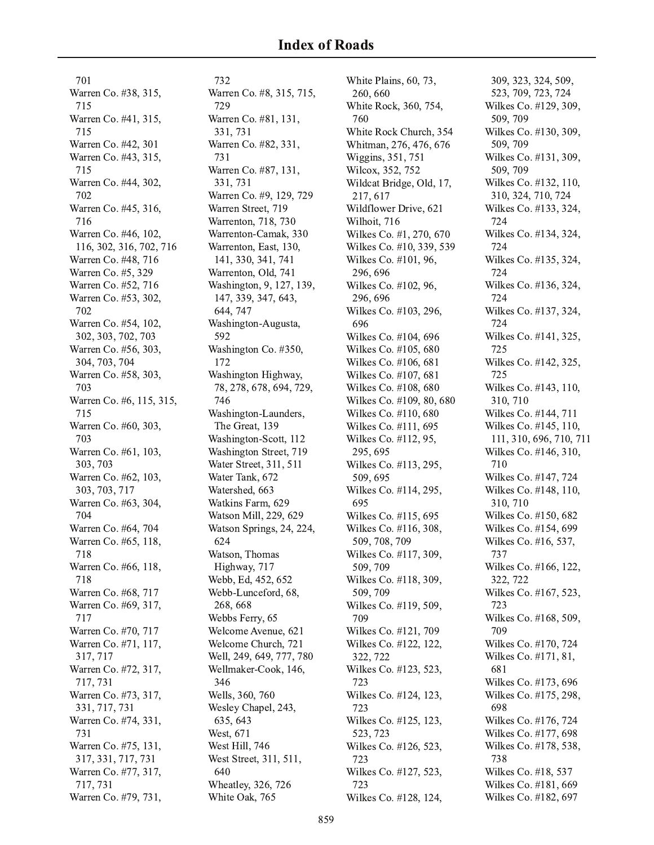701 Warren Co. #38, 315, 715 Warren Co. #41, 315, 715 Warren Co. #42, 301 Warren Co. #43, 315, 715 Warren Co. #44, 302, , 702 Warren Co. #45, 316, 716 Warren Co. #46, 102, , 116, 302, 316, 702, 716 Warren Co. #48, 716 Warren Co. #5, 329 Warren Co. #52, 716 Warren Co. #53, 302, , 702 Warren Co. #54, 102, , 302, 303, 702, 703 Warren Co. #56, 303. 304, 703, 704 Warren Co. #58, 303, 703 Warren Co. #6, 115, 315, 715 Warren Co. #60, 303, 703 Warren Co. #61, 103, 303, 703 Warren Co. #62, 103, 303, 703, 717 Warren Co. #63, 304, 704 Warren Co. #64, 704 Warren Co. #65, 118, 718 Warren Co. #66, 118, 718 Warren Co. #68, 717 Warren Co. #69, 317, 717 Warren Co. #70, 717 Warren Co. #71, 117, 317, 717 Warren Co. #72, 317, 717, 731 Warren Co. #73, 317, 331, 717, 731 Warren Co. #74, 331, 731 Warren Co. #75, 131, 317, 331, 717, 731 Warren Co. #77, 317, 717, 731 Warren Co. #79, 731,

732 Warren Co. #8, 315, 715, 729 Warren Co. #81, 131, 331, 731 Warren Co. #82, 331, 731 Warren Co. #87, 131, 331, 731 Warren Co. #9, 129, 729 Warren Street, 719 Warrenton, 718, 730 Warrenton-Camak, 330 Warrenton, East, 130, 141, 330, 341, 741 Warrenton, Old, 741 Washington, 9, 127, 139, 147, 339, 347, 643, 644, 747 Washington-Augusta, 592 Washington Co. #350, 172 Washington Highway, 78, 278, 678, 694, 729, 746 Washington-Launders, The Great, 139 Washington-Scott, 112 Washington Street, 719 Water Street, 311, 511 Water Tank, 672 Watershed, 663 Watkins Farm, 629 Watson Mill, 229, 629 Watson Springs, 24, 224, 624 Watson, Thomas Highway, 717 Webb, Ed, 452, 652 Webb-Lunceford, 68, 268, 668 Webbs Ferry, 65 Welcome Avenue, 621 Welcome Church, 721 Well, 249, 649, 777, 780 Wellmaker-Cook, 146, 346 Wells, 360, 760 Wesley Chapel, 243, 635, 643 West, 671 West Hill, 746 West Street, 311, 511, 640 Wheatley, 326, 726 White Oak, 765

White Plains, 60, 73, 260, 660 White Rock, 360, 754, 760 White Rock Church, 354 Whitman, 276, 476, 676 Wiggins, 351, 751 Wilcox, 352, 752 Wildcat Bridge, Old, 17, 217, 617 Wildflower Drive, 621 Wilhoit, 716 Wilkes Co. #1, 270, 670 Wilkes Co. #10, 339, 539 Wilkes Co. #101, 96, 296, 696 Wilkes Co. #102, 96, 296, 696 Wilkes Co. #103, 296, 696 Wilkes Co. #104, 696 Wilkes Co. #105, 680 Wilkes Co. #106, 681 Wilkes Co. #107, 681 Wilkes Co. #108, 680 Wilkes Co. #109, 80, 680 Wilkes Co. #110, 680 Wilkes Co. #111, 695 Wilkes Co. #112, 95, 295, 695 Wilkes Co. #113, 295, 509, 695 Wilkes Co. #114, 295, 695 Wilkes Co. #115, 695 Wilkes Co. #116, 308, 509, 708, 709 Wilkes Co. #117, 309, 509, 709 Wilkes Co. #118, 309, 509, 709 Wilkes Co. #119, 509, 709 Wilkes Co. #121, 709 Wilkes Co. #122, 122 , 322, 722 Wilkes Co. #123, 523, 723 Wilkes Co. #124, 123, 723 Wilkes Co. #125, 123, 523, 723 Wilkes Co. #126, 523, 723 Wilkes Co. #127, 523, 723 Wilkes Co. #128, 124,

309, 323, 324, 509, 523, 709, 723, 724 Wilkes Co. #129, 309, 509, 709 Wilkes Co. #130, 309, 509, 709 Wilkes Co. #131, 309, 509, 709 Wilkes Co. #132, 110, 310, 324, 710, 724 Wilkes Co. #133, 324, 724 Wilkes Co. #134, 324, 724 Wilkes Co. #135, 324, 724 Wilkes Co. #136, 324, 724 Wilkes Co. #137, 324, 724 Wilkes Co. #141, 325, 725 Wilkes Co. #142, 325, 725 Wilkes Co. #143, 110, 310, 710 Wilkes Co. #144, 711 Wilkes Co. #145, 110, 111, 310, 696, 710, 711 Wilkes Co. #146, 310, 710 Wilkes Co. #147, 724 Wilkes Co. #148, 110, 310, 710 Wilkes Co. #150, 682 Wilkes Co. #154, 699 Wilkes Co. #16, 537, 737 Wilkes Co. #166, 122 , 322, 722 Wilkes Co. #167, 523, 723 Wilkes Co. #168, 509, 709 Wilkes Co. #170, 724 Wilkes Co. #171, 81, 681 Wilkes Co. #173, 696 Wilkes Co. #175, 298, 698 Wilkes Co. #176, 724 Wilkes Co. #177, 698 Wilkes Co. #178, 538, 738 Wilkes Co. #18, 537 Wilkes Co. #181, 669 Wilkes Co. #182, 697